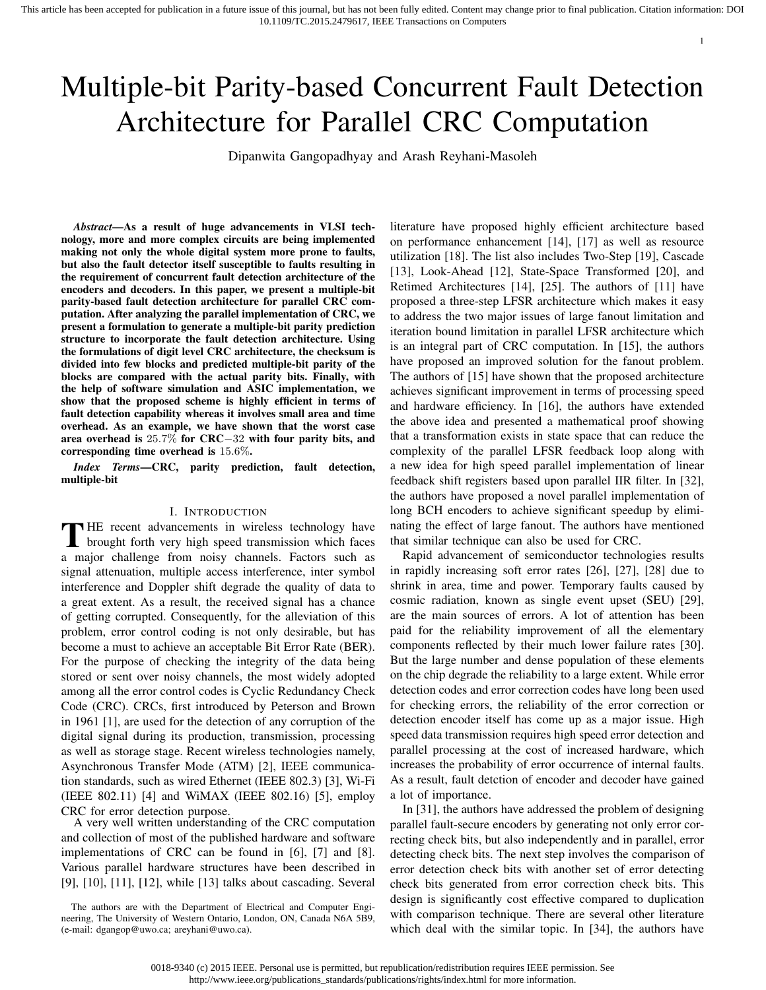# Multiple-bit Parity-based Concurrent Fault Detection Architecture for Parallel CRC Computation

Dipanwita Gangopadhyay and Arash Reyhani-Masoleh

*Abstract*—As a result of huge advancements in VLSI technology, more and more complex circuits are being implemented making not only the whole digital system more prone to faults, but also the fault detector itself susceptible to faults resulting in the requirement of concurrent fault detection architecture of the encoders and decoders. In this paper, we present a multiple-bit parity-based fault detection architecture for parallel CRC computation. After analyzing the parallel implementation of CRC, we present a formulation to generate a multiple-bit parity prediction structure to incorporate the fault detection architecture. Using the formulations of digit level CRC architecture, the checksum is divided into few blocks and predicted multiple-bit parity of the blocks are compared with the actual parity bits. Finally, with the help of software simulation and ASIC implementation, we show that the proposed scheme is highly efficient in terms of fault detection capability whereas it involves small area and time overhead. As an example, we have shown that the worst case area overhead is 25.7% for CRC−32 with four parity bits, and corresponding time overhead is 15.6%.

*Index Terms*—CRC, parity prediction, fault detection, multiple-bit

## I. INTRODUCTION

THE recent advancements in wireless technology have<br>brought forth very high speed transmission which faces **HE** recent advancements in wireless technology have a major challenge from noisy channels. Factors such as signal attenuation, multiple access interference, inter symbol interference and Doppler shift degrade the quality of data to a great extent. As a result, the received signal has a chance of getting corrupted. Consequently, for the alleviation of this problem, error control coding is not only desirable, but has become a must to achieve an acceptable Bit Error Rate (BER). For the purpose of checking the integrity of the data being stored or sent over noisy channels, the most widely adopted among all the error control codes is Cyclic Redundancy Check Code (CRC). CRCs, first introduced by Peterson and Brown in 1961 [1], are used for the detection of any corruption of the digital signal during its production, transmission, processing as well as storage stage. Recent wireless technologies namely, Asynchronous Transfer Mode (ATM) [2], IEEE communication standards, such as wired Ethernet (IEEE 802.3) [3], Wi-Fi (IEEE 802.11) [4] and WiMAX (IEEE 802.16) [5], employ CRC for error detection purpose.

A very well written understanding of the CRC computation and collection of most of the published hardware and software implementations of CRC can be found in [6], [7] and [8]. Various parallel hardware structures have been described in [9], [10], [11], [12], while [13] talks about cascading. Several literature have proposed highly efficient architecture based on performance enhancement [14], [17] as well as resource utilization [18]. The list also includes Two-Step [19], Cascade [13], Look-Ahead [12], State-Space Transformed [20], and Retimed Architectures [14], [25]. The authors of [11] have proposed a three-step LFSR architecture which makes it easy to address the two major issues of large fanout limitation and iteration bound limitation in parallel LFSR architecture which is an integral part of CRC computation. In [15], the authors have proposed an improved solution for the fanout problem. The authors of [15] have shown that the proposed architecture achieves significant improvement in terms of processing speed and hardware efficiency. In [16], the authors have extended the above idea and presented a mathematical proof showing that a transformation exists in state space that can reduce the complexity of the parallel LFSR feedback loop along with a new idea for high speed parallel implementation of linear feedback shift registers based upon parallel IIR filter. In [32], the authors have proposed a novel parallel implementation of long BCH encoders to achieve significant speedup by eliminating the effect of large fanout. The authors have mentioned that similar technique can also be used for CRC.

1

Rapid advancement of semiconductor technologies results in rapidly increasing soft error rates [26], [27], [28] due to shrink in area, time and power. Temporary faults caused by cosmic radiation, known as single event upset (SEU) [29], are the main sources of errors. A lot of attention has been paid for the reliability improvement of all the elementary components reflected by their much lower failure rates [30]. But the large number and dense population of these elements on the chip degrade the reliability to a large extent. While error detection codes and error correction codes have long been used for checking errors, the reliability of the error correction or detection encoder itself has come up as a major issue. High speed data transmission requires high speed error detection and parallel processing at the cost of increased hardware, which increases the probability of error occurrence of internal faults. As a result, fault detction of encoder and decoder have gained a lot of importance.

In [31], the authors have addressed the problem of designing parallel fault-secure encoders by generating not only error correcting check bits, but also independently and in parallel, error detecting check bits. The next step involves the comparison of error detection check bits with another set of error detecting check bits generated from error correction check bits. This design is significantly cost effective compared to duplication with comparison technique. There are several other literature which deal with the similar topic. In [34], the authors have

The authors are with the Department of Electrical and Computer Engineering, The University of Western Ontario, London, ON, Canada N6A 5B9, (e-mail: dgangop@uwo.ca; areyhani@uwo.ca).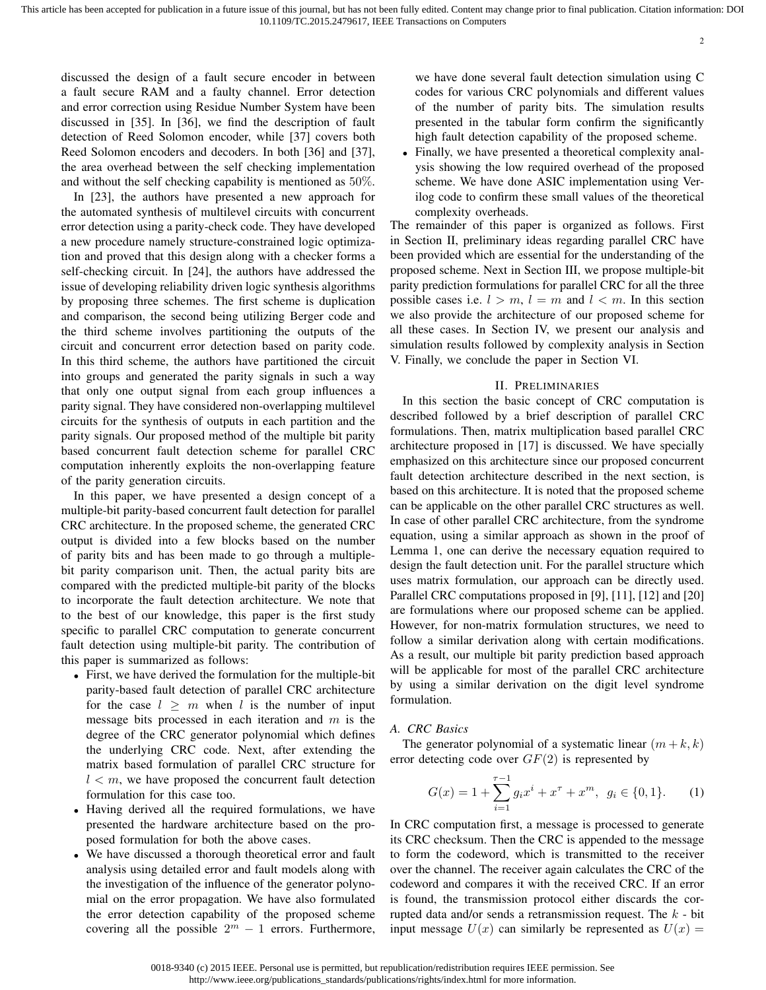discussed the design of a fault secure encoder in between a fault secure RAM and a faulty channel. Error detection and error correction using Residue Number System have been discussed in [35]. In [36], we find the description of fault detection of Reed Solomon encoder, while [37] covers both Reed Solomon encoders and decoders. In both [36] and [37], the area overhead between the self checking implementation and without the self checking capability is mentioned as 50%.

In [23], the authors have presented a new approach for the automated synthesis of multilevel circuits with concurrent error detection using a parity-check code. They have developed a new procedure namely structure-constrained logic optimization and proved that this design along with a checker forms a self-checking circuit. In [24], the authors have addressed the issue of developing reliability driven logic synthesis algorithms by proposing three schemes. The first scheme is duplication and comparison, the second being utilizing Berger code and the third scheme involves partitioning the outputs of the circuit and concurrent error detection based on parity code. In this third scheme, the authors have partitioned the circuit into groups and generated the parity signals in such a way that only one output signal from each group influences a parity signal. They have considered non-overlapping multilevel circuits for the synthesis of outputs in each partition and the parity signals. Our proposed method of the multiple bit parity based concurrent fault detection scheme for parallel CRC computation inherently exploits the non-overlapping feature of the parity generation circuits.

In this paper, we have presented a design concept of a multiple-bit parity-based concurrent fault detection for parallel CRC architecture. In the proposed scheme, the generated CRC output is divided into a few blocks based on the number of parity bits and has been made to go through a multiplebit parity comparison unit. Then, the actual parity bits are compared with the predicted multiple-bit parity of the blocks to incorporate the fault detection architecture. We note that to the best of our knowledge, this paper is the first study specific to parallel CRC computation to generate concurrent fault detection using multiple-bit parity. The contribution of this paper is summarized as follows:

- First, we have derived the formulation for the multiple-bit parity-based fault detection of parallel CRC architecture for the case  $l \geq m$  when l is the number of input message bits processed in each iteration and  $m$  is the degree of the CRC generator polynomial which defines the underlying CRC code. Next, after extending the matrix based formulation of parallel CRC structure for  $l < m$ , we have proposed the concurrent fault detection formulation for this case too.
- Having derived all the required formulations, we have presented the hardware architecture based on the proposed formulation for both the above cases.
- We have discussed a thorough theoretical error and fault analysis using detailed error and fault models along with the investigation of the influence of the generator polynomial on the error propagation. We have also formulated the error detection capability of the proposed scheme covering all the possible  $2^m - 1$  errors. Furthermore,

we have done several fault detection simulation using C codes for various CRC polynomials and different values of the number of parity bits. The simulation results presented in the tabular form confirm the significantly high fault detection capability of the proposed scheme.

• Finally, we have presented a theoretical complexity analysis showing the low required overhead of the proposed scheme. We have done ASIC implementation using Verilog code to confirm these small values of the theoretical complexity overheads.

The remainder of this paper is organized as follows. First in Section II, preliminary ideas regarding parallel CRC have been provided which are essential for the understanding of the proposed scheme. Next in Section III, we propose multiple-bit parity prediction formulations for parallel CRC for all the three possible cases i.e.  $l > m$ ,  $l = m$  and  $l < m$ . In this section we also provide the architecture of our proposed scheme for all these cases. In Section IV, we present our analysis and simulation results followed by complexity analysis in Section V. Finally, we conclude the paper in Section VI.

## II. PRELIMINARIES

In this section the basic concept of CRC computation is described followed by a brief description of parallel CRC formulations. Then, matrix multiplication based parallel CRC architecture proposed in [17] is discussed. We have specially emphasized on this architecture since our proposed concurrent fault detection architecture described in the next section, is based on this architecture. It is noted that the proposed scheme can be applicable on the other parallel CRC structures as well. In case of other parallel CRC architecture, from the syndrome equation, using a similar approach as shown in the proof of Lemma 1, one can derive the necessary equation required to design the fault detection unit. For the parallel structure which uses matrix formulation, our approach can be directly used. Parallel CRC computations proposed in [9], [11], [12] and [20] are formulations where our proposed scheme can be applied. However, for non-matrix formulation structures, we need to follow a similar derivation along with certain modifications. As a result, our multiple bit parity prediction based approach will be applicable for most of the parallel CRC architecture by using a similar derivation on the digit level syndrome formulation.

# *A. CRC Basics*

The generator polynomial of a systematic linear  $(m + k, k)$ error detecting code over  $GF(2)$  is represented by

$$
G(x) = 1 + \sum_{i=1}^{\tau-1} g_i x^i + x^{\tau} + x^m, \ g_i \in \{0, 1\}.
$$
 (1)

In CRC computation first, a message is processed to generate its CRC checksum. Then the CRC is appended to the message to form the codeword, which is transmitted to the receiver over the channel. The receiver again calculates the CRC of the codeword and compares it with the received CRC. If an error is found, the transmission protocol either discards the corrupted data and/or sends a retransmission request. The  $k$  - bit input message  $U(x)$  can similarly be represented as  $U(x) =$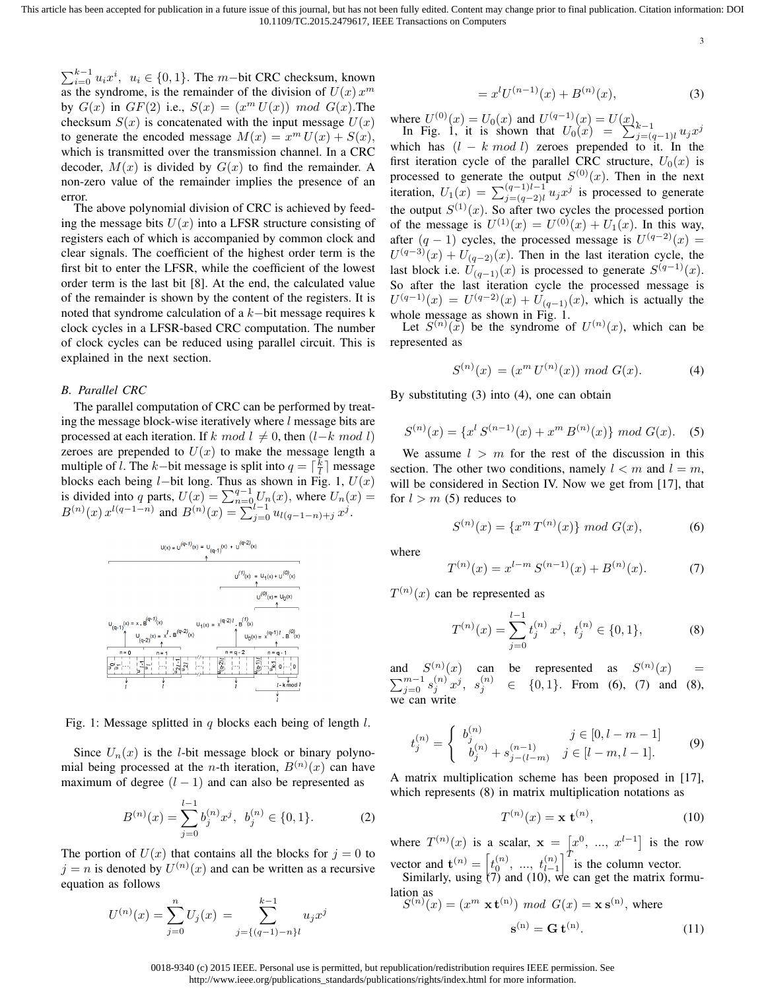3

 $\sum_{i=0}^{k-1} u_i x^i$ ,  $u_i \in \{0, 1\}$ . The *m*−bit CRC checksum, known as the syndrome, is the remainder of the division of  $U(x)$   $x^m$ by  $G(x)$  in  $GF(2)$  i.e.,  $S(x) = (x<sup>m</sup> U(x))$  mod  $G(x)$ . The checksum  $S(x)$  is concatenated with the input message  $U(x)$ to generate the encoded message  $M(x) = x^m U(x) + S(x)$ , which is transmitted over the transmission channel. In a CRC decoder,  $M(x)$  is divided by  $G(x)$  to find the remainder. A non-zero value of the remainder implies the presence of an error.

The above polynomial division of CRC is achieved by feeding the message bits  $U(x)$  into a LFSR structure consisting of registers each of which is accompanied by common clock and clear signals. The coefficient of the highest order term is the first bit to enter the LFSR, while the coefficient of the lowest order term is the last bit [8]. At the end, the calculated value of the remainder is shown by the content of the registers. It is noted that syndrome calculation of a k−bit message requires k clock cycles in a LFSR-based CRC computation. The number of clock cycles can be reduced using parallel circuit. This is explained in the next section.

## *B. Parallel CRC*

The parallel computation of CRC can be performed by treating the message block-wise iteratively where l message bits are processed at each iteration. If k mod  $l \neq 0$ , then  $(l-k \mod l)$ zeroes are prepended to  $U(x)$  to make the message length a multiple of *l*. The *k*-bit message is split into  $q = \lceil \frac{k}{l} \rceil$  message blocks each being  $l$ −bit long. Thus as shown in Fig. 1,  $U(x)$ is divided into q parts,  $U(x) = \sum_{n=0}^{q-1} U_n(x)$ , where  $U_n(x) =$  $B^{(n)}(x) x^{l(q-1-n)}$  and  $B^{(n)}(x) = \sum_{j=0}^{l-1} u_{l(q-1-n)+j} x^j$ .



Fig. 1: Message splitted in  $q$  blocks each being of length  $l$ .

Since  $U_n(x)$  is the *l*-bit message block or binary polynomial being processed at the *n*-th iteration,  $B^{(n)}(x)$  can have maximum of degree  $(l - 1)$  and can also be represented as

$$
B^{(n)}(x) = \sum_{j=0}^{l-1} b_j^{(n)} x^j, \ b_j^{(n)} \in \{0, 1\}.
$$
 (2)

The portion of  $U(x)$  that contains all the blocks for  $j = 0$  to  $j = n$  is denoted by  $U^{(n)}(x)$  and can be written as a recursive equation as follows

$$
U^{(n)}(x) = \sum_{j=0}^{n} U_j(x) = \sum_{j=\{(q-1)-n\}^k}^{k-1} u_j x^j
$$

$$
=x^{l}U^{(n-1)}(x) + B^{(n)}(x),
$$
\n(3)

where  $U^{(0)}(x) = U_0(x)$  and  $U^{(q-1)}(x) = U(x)$ , In Fig. 1, it is shown that  $U_0(x) = \sum_{j=(q-1)l}^{n} u_j x^j$ which has  $(l - k \mod l)$  zeroes prepended to it. In the first iteration cycle of the parallel CRC structure,  $U_0(x)$  is processed to generate the output  $S^{(0)}(x)$ . Then in the next iteration,  $U_1(x) = \sum_{j=(q-2)l}^{(q-1)l-1} u_j x^j$  is processed to generate the output  $S^{(1)}(x)$ . So after two cycles the processed portion of the message is  $U^{(1)}(x) = U^{(0)}(x) + U_1(x)$ . In this way, after  $(q - 1)$  cycles, the processed message is  $U^{(q-2)}(x) =$  $U^{(q-3)}(x) + U_{(q-2)}(x)$ . Then in the last iteration cycle, the last block i.e.  $\widetilde{U}_{(q-1)}(x)$  is processed to generate  $S^{(q-1)}(x)$ . So after the last iteration cycle the processed message is  $U^{(q-1)}(x) = U^{(q-2)}(x) + U_{(q-1)}(x)$ , which is actually the whole message as shown in Fig. 1.

Let  $S^{(n)}(\tilde{x})$  be the syndrome of  $U^{(n)}(x)$ , which can be represented as

$$
S^{(n)}(x) = (x^m U^{(n)}(x)) \mod G(x). \tag{4}
$$

By substituting (3) into (4), one can obtain

$$
S^{(n)}(x) = \{x^l S^{(n-1)}(x) + x^m B^{(n)}(x)\} \mod G(x). \tag{5}
$$

We assume  $l > m$  for the rest of the discussion in this section. The other two conditions, namely  $l < m$  and  $l = m$ , will be considered in Section IV. Now we get from [17], that for  $l > m$  (5) reduces to

$$
S^{(n)}(x) = \{x^m T^{(n)}(x)\} \mod G(x),\tag{6}
$$

where

$$
T^{(n)}(x) = x^{l-m} S^{(n-1)}(x) + B^{(n)}(x).
$$
 (7)

 $T^{(n)}(x)$  can be represented as

$$
T^{(n)}(x) = \sum_{j=0}^{l-1} t_j^{(n)} x^j, \ t_j^{(n)} \in \{0, 1\},\tag{8}
$$

and  $S^{(n)}(x)$  can be represented as  $S^{(n)}(x)$  =  $\sum_{j=0}^{m-1} s_j^{(n)} x^j$ ,  $s_j^{(n)} \in \{0,1\}$ . From (6), (7) and (8), we can write

$$
t_j^{(n)} = \begin{cases} b_j^{(n)} & j \in [0, l - m - 1] \\ b_j^{(n)} + s_{j - (l - m)}^{(n - 1)} & j \in [l - m, l - 1]. \end{cases}
$$
(9)

A matrix multiplication scheme has been proposed in [17], which represents  $(8)$  in matrix multiplication notations as

$$
T^{(n)}(x) = \mathbf{x} \ \mathbf{t}^{(n)},\tag{10}
$$

where  $T^{(n)}(x)$  is a scalar,  $\mathbf{x} = [x^0, ..., x^{l-1}]$  is the row vector and  $\mathbf{t}^{(n)} = \begin{bmatrix} t_0^{(n)}, & \dots, & t_{l-1}^{(n)} \end{bmatrix}^T$  is the column vector.

Similarly, using  $(7)$  and  $(10)$ , we can get the matrix formulation as  $S^{(n)}$ 

$$
(x) = (xm \times t(n)) \mod G(x) = x s(n), where
$$

$$
s(n) = G t(n).
$$
(11)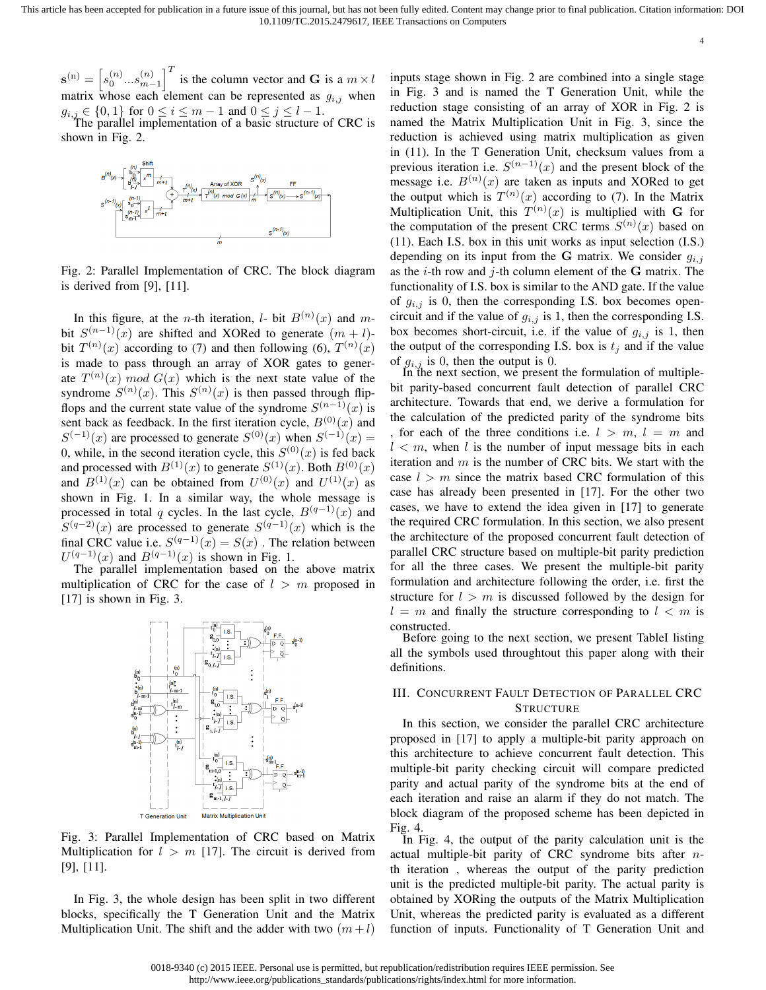$\mathbf{s}^{(n)} = \left[s_0^{(n)}...s_{m-1}^{(n)}\right]^T$  is the column vector and G is a  $m \times l$ matrix whose each element can be represented as  $g_{i,j}$  when  $g_{i,j} \in \{0,1\}$  for  $0 \le i \le m-1$  and  $0 \le j \le l-1$ .

The parallel implementation of a basic structure of CRC is shown in Fig. 2.



Fig. 2: Parallel Implementation of CRC. The block diagram is derived from [9], [11].

In this figure, at the *n*-th iteration, *l*- bit  $B^{(n)}(x)$  and *m*bit  $S^{(n-1)}(x)$  are shifted and XORed to generate  $(m + l)$ bit  $T^{(n)}(x)$  according to (7) and then following (6),  $T^{(n)}(x)$ is made to pass through an array of XOR gates to generate  $T^{(n)}(x) \mod G(x)$  which is the next state value of the syndrome  $S^{(n)}(x)$ . This  $S^{(n)}(x)$  is then passed through flipflops and the current state value of the syndrome  $S^{(n-1)}(x)$  is sent back as feedback. In the first iteration cycle,  $B^{(0)}(x)$  and  $S^{(-1)}(x)$  are processed to generate  $S^{(0)}(x)$  when  $S^{(-1)}(x)$  = 0, while, in the second iteration cycle, this  $S^{(0)}(x)$  is fed back and processed with  $B^{(1)}(x)$  to generate  $S^{(1)}(x)$ . Both  $B^{(0)}(x)$ and  $B^{(1)}(x)$  can be obtained from  $U^{(0)}(x)$  and  $U^{(1)}(x)$  as shown in Fig. 1. In a similar way, the whole message is processed in total q cycles. In the last cycle,  $B^{(q-1)}(x)$  and  $S^{(q-2)}(x)$  are processed to generate  $S^{(q-1)}(x)$  which is the final CRC value i.e.  $S^{(q-1)}(x) = S(x)$ . The relation between  $U^{(q-1)}(x)$  and  $B^{(q-1)}(x)$  is shown in Fig. 1.

The parallel implementation based on the above matrix multiplication of CRC for the case of  $l > m$  proposed in [17] is shown in Fig. 3.



Fig. 3: Parallel Implementation of CRC based on Matrix Multiplication for  $l > m$  [17]. The circuit is derived from [9], [11].

In Fig. 3, the whole design has been split in two different blocks, specifically the T Generation Unit and the Matrix Multiplication Unit. The shift and the adder with two  $(m + l)$  inputs stage shown in Fig. 2 are combined into a single stage in Fig. 3 and is named the T Generation Unit, while the reduction stage consisting of an array of XOR in Fig. 2 is named the Matrix Multiplication Unit in Fig. 3, since the reduction is achieved using matrix multiplication as given in (11). In the T Generation Unit, checksum values from a previous iteration i.e.  $S^{(n-1)}(x)$  and the present block of the message i.e.  $B^{(n)}(x)$  are taken as inputs and XORed to get the output which is  $T^{(n)}(x)$  according to (7). In the Matrix Multiplication Unit, this  $T^{(n)}(x)$  is multiplied with G for the computation of the present CRC terms  $S^{(n)}(x)$  based on (11). Each I.S. box in this unit works as input selection (I.S.) depending on its input from the G matrix. We consider  $g_{i,j}$ as the  $i$ -th row and  $j$ -th column element of the G matrix. The functionality of I.S. box is similar to the AND gate. If the value of  $g_{i,j}$  is 0, then the corresponding I.S. box becomes opencircuit and if the value of  $g_{i,j}$  is 1, then the corresponding I.S. box becomes short-circuit, i.e. if the value of  $g_{i,j}$  is 1, then the output of the corresponding I.S. box is  $t_j$  and if the value of  $g_{i,j}$  is 0, then the output is 0.

4

In the next section, we present the formulation of multiplebit parity-based concurrent fault detection of parallel CRC architecture. Towards that end, we derive a formulation for the calculation of the predicted parity of the syndrome bits , for each of the three conditions i.e.  $l > m$ ,  $l = m$  and  $l < m$ , when l is the number of input message bits in each iteration and  $m$  is the number of CRC bits. We start with the case  $l > m$  since the matrix based CRC formulation of this case has already been presented in [17]. For the other two cases, we have to extend the idea given in [17] to generate the required CRC formulation. In this section, we also present the architecture of the proposed concurrent fault detection of parallel CRC structure based on multiple-bit parity prediction for all the three cases. We present the multiple-bit parity formulation and architecture following the order, i.e. first the structure for  $l > m$  is discussed followed by the design for  $l = m$  and finally the structure corresponding to  $l < m$  is constructed.

Before going to the next section, we present TableI listing all the symbols used throughtout this paper along with their definitions.

# III. CONCURRENT FAULT DETECTION OF PARALLEL CRC **STRUCTURE**

In this section, we consider the parallel CRC architecture proposed in [17] to apply a multiple-bit parity approach on this architecture to achieve concurrent fault detection. This multiple-bit parity checking circuit will compare predicted parity and actual parity of the syndrome bits at the end of each iteration and raise an alarm if they do not match. The block diagram of the proposed scheme has been depicted in Fig. 4.

In Fig. 4, the output of the parity calculation unit is the actual multiple-bit parity of CRC syndrome bits after nth iteration , whereas the output of the parity prediction unit is the predicted multiple-bit parity. The actual parity is obtained by XORing the outputs of the Matrix Multiplication Unit, whereas the predicted parity is evaluated as a different function of inputs. Functionality of T Generation Unit and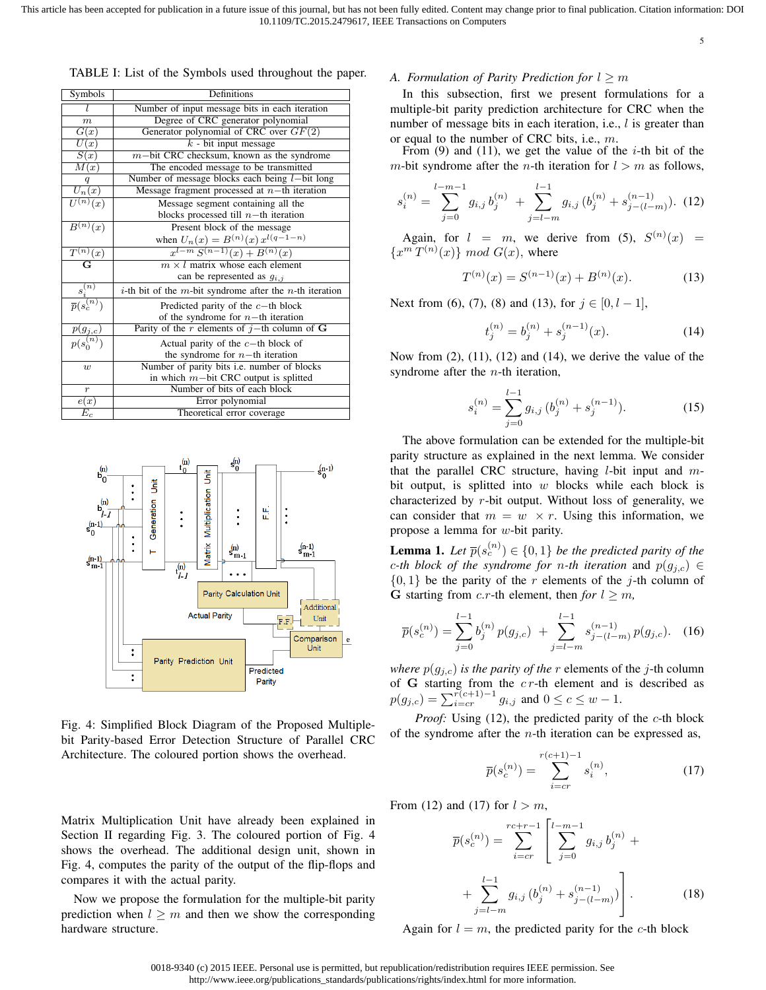5

| Symbols                   | Definitions                                                                     |
|---------------------------|---------------------------------------------------------------------------------|
|                           | Number of input message bits in each iteration                                  |
| $\boldsymbol{m}$          | Degree of CRC generator polynomial                                              |
| G(x)                      | Generator polynomial of CRC over $GF(2)$                                        |
| U(x)                      | $k$ - bit input message                                                         |
| S(x)                      | $m$ -bit CRC checksum, known as the syndrome                                    |
| M(x)                      | The encoded message to be transmitted                                           |
| q                         | Number of message blocks each being $l$ -bit long                               |
| $U_n(x)$                  | Message fragment processed at $n$ -th iteration                                 |
| $\overline{U^{(n)}(x)}$   | Message segment containing all the                                              |
|                           | blocks processed till $n$ -th iteration                                         |
| $\overline{B^{(n)}}(x)$   | Present block of the message                                                    |
|                           |                                                                                 |
| $\overline{T^{(n)}(x)}$   | when $U_n(x) = B^{(n)}(x) x^{l(q-1-n)}$<br>$x^{l-m} S^{(n-1)}(x) + B^{(n)}(x)$  |
| $\overline{\mathrm{G}}$   | $m \times l$ matrix whose each element                                          |
|                           | can be represented as $g_{i,j}$                                                 |
| $s_i^{(n)}$               | <i>i</i> -th bit of the <i>m</i> -bit syndrome after the <i>n</i> -th iteration |
| $\overline{p}(s_c^{(n)})$ | Predicted parity of the $c$ -th block                                           |
|                           | of the syndrome for $n$ -th iteration                                           |
| $p(g_{j,c})$              | Parity of the r elements of $j$ -th column of G                                 |
| $p(s_0^{(n)})$            | Actual parity of the $c$ -th block of                                           |
|                           | the syndrome for $n-$ th iteration                                              |
| $\boldsymbol{w}$          | Number of parity bits i.e. number of blocks                                     |
|                           | in which $m$ -bit CRC output is splitted                                        |
| $\boldsymbol{r}$          | Number of bits of each block                                                    |
| e(x)                      | Error polynomial                                                                |
| $E_c$                     | Theoretical error coverage                                                      |

TABLE I: List of the Symbols used throughout the paper.



Fig. 4: Simplified Block Diagram of the Proposed Multiplebit Parity-based Error Detection Structure of Parallel CRC Architecture. The coloured portion shows the overhead.

Matrix Multiplication Unit have already been explained in Section II regarding Fig. 3. The coloured portion of Fig. 4 shows the overhead. The additional design unit, shown in Fig. 4, computes the parity of the output of the flip-flops and compares it with the actual parity.

Now we propose the formulation for the multiple-bit parity prediction when  $l \geq m$  and then we show the corresponding hardware structure.

#### *A. Formulation of Parity Prediction for*  $l \geq m$

In this subsection, first we present formulations for a multiple-bit parity prediction architecture for CRC when the number of message bits in each iteration, i.e.,  $l$  is greater than or equal to the number of CRC bits, i.e., m.

From (9) and (11), we get the value of the  $i$ -th bit of the m-bit syndrome after the *n*-th iteration for  $l > m$  as follows,

$$
s_i^{(n)} = \sum_{j=0}^{l-m-1} g_{i,j} b_j^{(n)} + \sum_{j=l-m}^{l-1} g_{i,j} (b_j^{(n)} + s_{j-(l-m)}^{(n-1)}).
$$
 (12)

Again, for  $l = m$ , we derive from (5),  $S^{(n)}(x) =$  $\{x^m T^{(n)}(x)\}\mod G(x)$ , where

$$
T^{(n)}(x) = S^{(n-1)}(x) + B^{(n)}(x). \tag{13}
$$

Next from (6), (7), (8) and (13), for  $j \in [0, l-1]$ ,

$$
t_j^{(n)} = b_j^{(n)} + s_j^{(n-1)}(x). \tag{14}
$$

Now from  $(2)$ ,  $(11)$ ,  $(12)$  and  $(14)$ , we derive the value of the syndrome after the  $n$ -th iteration,

$$
s_i^{(n)} = \sum_{j=0}^{l-1} g_{i,j} \, (b_j^{(n)} + s_j^{(n-1)}).
$$
 (15)

The above formulation can be extended for the multiple-bit parity structure as explained in the next lemma. We consider that the parallel CRC structure, having  $l$ -bit input and  $m$ bit output, is splitted into  $w$  blocks while each block is characterized by  $r$ -bit output. Without loss of generality, we can consider that  $m = w \times r$ . Using this information, we propose a lemma for w-bit parity.

**Lemma 1.** Let  $\overline{p}(s_c^{(n)}) \in \{0,1\}$  be the predicted parity of the *c-th block of the syndrome for n-th iteration* and  $p(g_{i,c}) \in$  $\{0, 1\}$  be the parity of the r elements of the *j*-th column of G starting from *c.r*-th element, then *for*  $l \geq m$ ,

$$
\overline{p}(s_c^{(n)}) = \sum_{j=0}^{l-1} b_j^{(n)} p(g_{j,c}) + \sum_{j=l-m}^{l-1} s_{j-(l-m)}^{(n-1)} p(g_{j,c}).
$$
 (16)

*where*  $p(g_{i,c})$  *is the parity of the* r elements of the *j*-th column of G starting from the  $cr$ -th element and is described as  $p(g_{j,c}) = \sum_{i=cr}^{r(c+1)-1} g_{i,j}$  and  $0 \le c \le w-1$ .

*Proof:* Using (12), the predicted parity of the c-th block of the syndrome after the  $n$ -th iteration can be expressed as,

$$
\overline{p}(s_c^{(n)}) = \sum_{i=cr}^{r(c+1)-1} s_i^{(n)},\tag{17}
$$

From (12) and (17) for  $l > m$ ,

$$
\overline{p}(s_c^{(n)}) = \sum_{i=cr}^{rc+r-1} \left[ \sum_{j=0}^{l-m-1} g_{i,j} b_j^{(n)} + \sum_{j=l-m}^{l-1} g_{i,j} (b_j^{(n)} + s_{j-(l-m)}^{(n-1)}) \right].
$$
\n(18)

Again for  $l = m$ , the predicted parity for the c-th block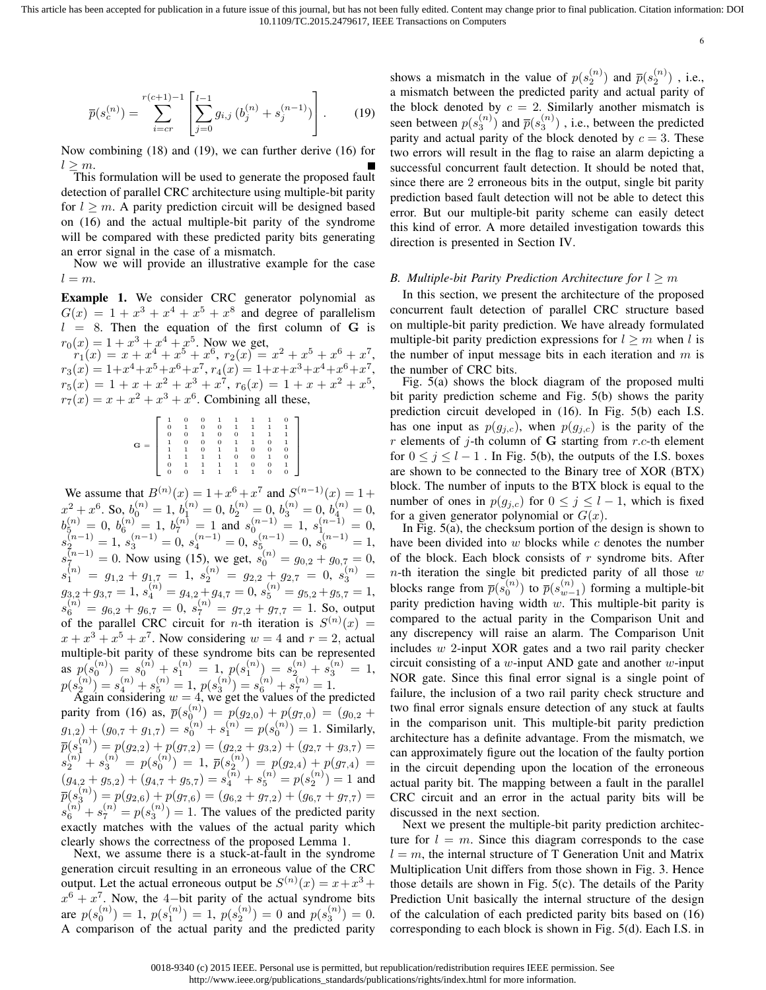$$
\overline{p}(s_c^{(n)}) = \sum_{i=cr}^{r(c+1)-1} \left[ \sum_{j=0}^{l-1} g_{i,j} \left( b_j^{(n)} + s_j^{(n-1)} \right) \right]. \tag{19}
$$

Now combining (18) and (19), we can further derive (16) for  $l \geq m$ .

This formulation will be used to generate the proposed fault detection of parallel CRC architecture using multiple-bit parity for  $l \geq m$ . A parity prediction circuit will be designed based on (16) and the actual multiple-bit parity of the syndrome will be compared with these predicted parity bits generating an error signal in the case of a mismatch.

Now we will provide an illustrative example for the case  $l = m$ .

Example 1. We consider CRC generator polynomial as  $G(x) = 1 + x<sup>3</sup> + x<sup>4</sup> + x<sup>5</sup> + x<sup>8</sup>$  and degree of parallelism  $l = 8$ . Then the equation of the first column of G is  $r_0(x) = 1 + x^3 + x^4 + x^5$ . Now we get,

 $r_1(x) = x + x^4 + x^5 + x^6, r_2(x) = x^2 + x^5 + x^6 + x^7,$  $r_3(x) = 1 + x^4 + x^5 + x^6 + x^7$ ,  $r_4(x) = 1 + x + x^3 + x^4 + x^6 + x^7$ ,  $r_5(x) = 1 + x + x^2 + x^3 + x^7$ ,  $r_6(x) = 1 + x + x^2 + x^5$ ,  $r_7(x) = x + x^2 + x^3 + x^6$ . Combining all these,

|          |                | $\overline{0}$ |                |                |              |                |   |   |  |
|----------|----------------|----------------|----------------|----------------|--------------|----------------|---|---|--|
|          | 0              | 1              | 0              | $\overline{0}$ | 1            | 1              |   |   |  |
|          | $\overline{0}$ | $\mathbf{0}$   |                | $\mathbf{0}$   | 0            | 1              |   |   |  |
| G<br>$=$ |                | $\mathbf{0}$   | $\mathbf{0}$   | $\mathbf{0}$   | 1            | 1              | 0 |   |  |
|          |                |                | $\overline{0}$ |                | $\mathbf{1}$ | 0              | 0 | 0 |  |
|          |                |                |                |                | 0            | $\overline{0}$ |   |   |  |
|          | 0              |                |                |                | 1            | 0              | 0 |   |  |
|          | 0              | $\overline{0}$ |                |                |              | 1              | 0 |   |  |

We assume that  $B^{(n)}(x) = 1 + x^6 + x^7$  and  $S^{(n-1)}(x) = 1 +$  $x^{2} + x^{6}$ . So,  $b_{0}^{(n)} = 1$ ,  $b_{1}^{(n)} = 0$ ,  $b_{2}^{(n)} = 0$ ,  $b_{3}^{(n)} = 0$ ,  $b_{4}^{(n)} = 0$ ,  $b_5^{(n)} = 0, b_6^{(n)} = 1, b_7^{(n)} = 1$  and  $s_0^{(n-1)} = 1, s_1^{(n-1)} = 0$ ,  $s_2^{(n-1)} = 1, s_3^{(n-1)} = 0, s_4^{(n-1)} = 0, s_5^{(n-1)} = 0, s_6^{(n-1)} = 1,$  $s_7^{(n-1)} = 0$ . Now using (15), we get,  $s_0^{(n)} = g_{0,2} + g_{0,7} = 0$ ,  $s_1^{(n)}~=~g_{1,2}+g_{1,7}~=~1,~s_2^{(n)}~=~g_{2,2}+g_{2,7}~=~0,~s_3^{(n)}~=~$  $g_{3,2}^{}+g_{3,7}^{}=1,\,s_{4}^{(n)}=g_{4,2}^{}\dot+g_{4,7}^{}=0,\,s_{5}^{(n)}=g_{5,2}^{}+g_{5,7}^{}=1,$  $s_6^{(n)} = g_{6,2} + g_{6,7} = 0, s_7^{(n)} = g_{7,2} + g_{7,7} = 1$ . So, output of the parallel CRC circuit for *n*-th iteration is  $S^{(n)}(x) =$  $x + x<sup>3</sup> + x<sup>5</sup> + x<sup>7</sup>$ . Now considering  $w = 4$  and  $r = 2$ , actual multiple-bit parity of these syndrome bits can be represented as  $p(s_0^{(n)}) = s_0^{(n)} + s_1^{(n)} = 1$ ,  $p(s_1^{(n)}) = s_2^{(n)} + s_3^{(n)} = 1$ ,  $p(s_2^{(n)}) = s_4^{(n)} + s_5^{(n)} = 1, p(s_3^{(n)}) = s_6^{(n)} + s_7^{(n)} = 1.$  Again considering  $w = 4$ , we get the values of the predicted

parity from (16) as,  $\bar{p}(s_0^{(n)}) = p(g_{2,0}) + p(g_{7,0}) = (g_{0,2} +$  $g_{1,2}$  +  $(g_{0,7} + g_{1,7}) = s_0^{(n)} + s_1^{(n)} = p(s_0^{(n)}) = 1$ . Similarly,  $\overline{p}(s_1^{(n)})=p(g_{2,2})+p(g_{7,2})=(g_{2,2}+g_{3,2})+(g_{2,7}+g_{3,7})=$  $s_2^{(n)}+s_3^{(n)}\,=\,p(s_0^{(n)})\,=\,1,\ \overline{p}(s_2^{(n)})\,=\,p(g_{2,4})+p(g_{7,4})\,=\,$  $(g_{4,2} + g_{5,2}) + (g_{4,7} + g_{5,7}) = s_4^{(n)} + s_5^{(n)} = p(s_2^{(n)}) = 1$  and  $\overline{p}(s_3^{(n)})=p(g_{2,6})+p(g_{7,6})=(g_{6,2}+g_{7,2})+(g_{6,7}+g_{7,7})=$  $s_6^{(n)} + s_7^{(n)} = p(s_3^{(n)}) = 1$ . The values of the predicted parity exactly matches with the values of the actual parity which clearly shows the correctness of the proposed Lemma 1.

Next, we assume there is a stuck-at-fault in the syndrome generation circuit resulting in an erroneous value of the CRC output. Let the actual erroneous output be  $S^{(n)}(x) = x + x^3 +$  $x^6 + x^7$ . Now, the 4-bit parity of the actual syndrome bits are  $p(s_0^{(n)}) = 1$ ,  $p(s_1^{(n)}) = 1$ ,  $p(s_2^{(n)}) = 0$  and  $p(s_3^{(n)}) = 0$ . A comparison of the actual parity and the predicted parity

shows a mismatch in the value of  $p(s_2^{(n)})$  and  $\bar{p}(s_2^{(n)})$ , i.e., a mismatch between the predicted parity and actual parity of the block denoted by  $c = 2$ . Similarly another mismatch is seen between  $p(s_3^{(n)})$  and  $\bar{p}(s_3^{(n)})$  , i.e., between the predicted parity and actual parity of the block denoted by  $c = 3$ . These two errors will result in the flag to raise an alarm depicting a successful concurrent fault detection. It should be noted that, since there are 2 erroneous bits in the output, single bit parity prediction based fault detection will not be able to detect this error. But our multiple-bit parity scheme can easily detect this kind of error. A more detailed investigation towards this direction is presented in Section IV.

#### *B. Multiple-bit Parity Prediction Architecture for*  $l \geq m$

In this section, we present the architecture of the proposed concurrent fault detection of parallel CRC structure based on multiple-bit parity prediction. We have already formulated multiple-bit parity prediction expressions for  $l \geq m$  when l is the number of input message bits in each iteration and  $m$  is the number of CRC bits.

Fig. 5(a) shows the block diagram of the proposed multi bit parity prediction scheme and Fig. 5(b) shows the parity prediction circuit developed in (16). In Fig. 5(b) each I.S. has one input as  $p(g_{j,c})$ , when  $p(g_{j,c})$  is the parity of the r elements of  $i$ -th column of G starting from r.c-th element for  $0 \le j \le l - 1$ . In Fig. 5(b), the outputs of the I.S. boxes are shown to be connected to the Binary tree of XOR (BTX) block. The number of inputs to the BTX block is equal to the number of ones in  $p(g_{j,c})$  for  $0 \leq j \leq l-1$ , which is fixed for a given generator polynomial or  $G(x)$ .

In Fig. 5(a), the checksum portion of the design is shown to have been divided into  $w$  blocks while  $c$  denotes the number of the block. Each block consists of  $r$  syndrome bits. After  $n$ -th iteration the single bit predicted parity of all those  $w$ blocks range from  $\bar{p}(s_0^{(n)})$  to  $\bar{p}(s_{w-1}^{(n)})$  forming a multiple-bit parity prediction having width  $w$ . This multiple-bit parity is compared to the actual parity in the Comparison Unit and any discrepency will raise an alarm. The Comparison Unit includes w 2-input XOR gates and a two rail parity checker circuit consisting of a  $w$ -input AND gate and another  $w$ -input NOR gate. Since this final error signal is a single point of failure, the inclusion of a two rail parity check structure and two final error signals ensure detection of any stuck at faults in the comparison unit. This multiple-bit parity prediction architecture has a definite advantage. From the mismatch, we can approximately figure out the location of the faulty portion in the circuit depending upon the location of the erroneous actual parity bit. The mapping between a fault in the parallel CRC circuit and an error in the actual parity bits will be discussed in the next section.

Next we present the multiple-bit parity prediction architecture for  $l = m$ . Since this diagram corresponds to the case  $l = m$ , the internal structure of T Generation Unit and Matrix Multiplication Unit differs from those shown in Fig. 3. Hence those details are shown in Fig. 5(c). The details of the Parity Prediction Unit basically the internal structure of the design of the calculation of each predicted parity bits based on (16) corresponding to each block is shown in Fig. 5(d). Each I.S. in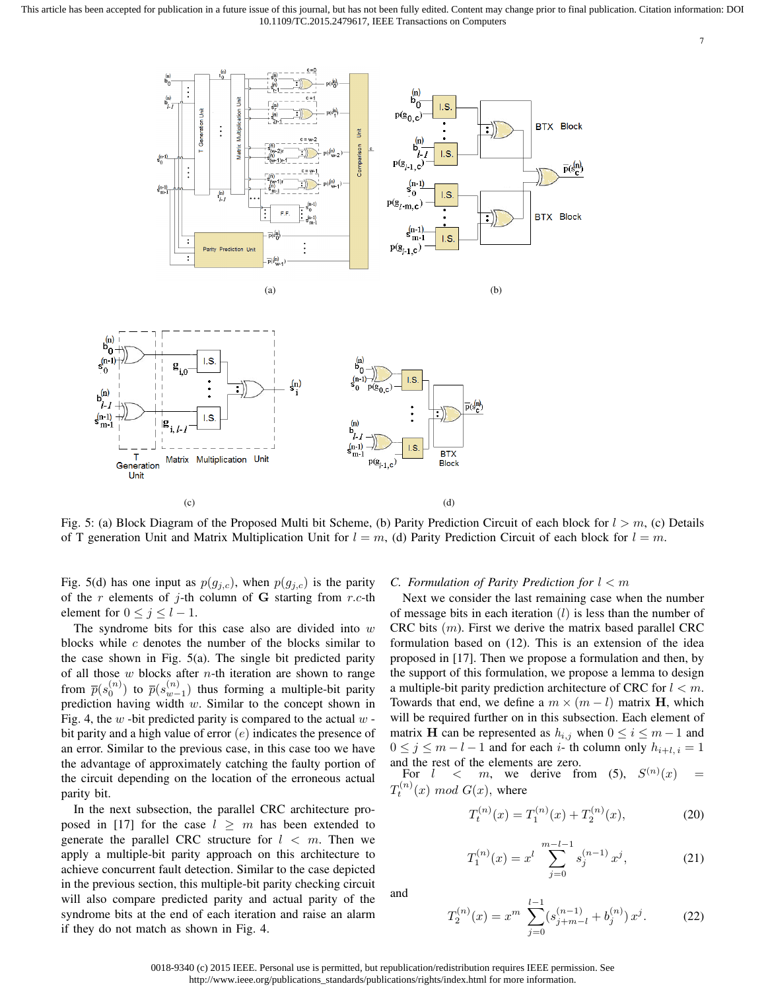

Fig. 5: (a) Block Diagram of the Proposed Multi bit Scheme, (b) Parity Prediction Circuit of each block for  $l > m$ , (c) Details of T generation Unit and Matrix Multiplication Unit for  $l = m$ , (d) Parity Prediction Circuit of each block for  $l = m$ .

Fig. 5(d) has one input as  $p(g_{j,c})$ , when  $p(g_{j,c})$  is the parity of the  $r$  elements of  $j$ -th column of G starting from  $r.c$ -th element for  $0 \le j \le l-1$ .

The syndrome bits for this case also are divided into  $w$ blocks while  $c$  denotes the number of the blocks similar to the case shown in Fig. 5(a). The single bit predicted parity of all those  $w$  blocks after  $n$ -th iteration are shown to range from  $\bar{p}(s_0^{(n)})$  to  $\bar{p}(s_{w-1}^{(n)})$  thus forming a multiple-bit parity prediction having width  $w$ . Similar to the concept shown in Fig. 4, the  $w$  -bit predicted parity is compared to the actual  $w$  bit parity and a high value of error  $(e)$  indicates the presence of an error. Similar to the previous case, in this case too we have the advantage of approximately catching the faulty portion of the circuit depending on the location of the erroneous actual parity bit.

In the next subsection, the parallel CRC architecture proposed in [17] for the case  $l \geq m$  has been extended to generate the parallel CRC structure for  $l < m$ . Then we apply a multiple-bit parity approach on this architecture to achieve concurrent fault detection. Similar to the case depicted in the previous section, this multiple-bit parity checking circuit will also compare predicted parity and actual parity of the syndrome bits at the end of each iteration and raise an alarm if they do not match as shown in Fig. 4.

# *C. Formulation of Parity Prediction for* l < m

Next we consider the last remaining case when the number of message bits in each iteration  $(l)$  is less than the number of CRC bits  $(m)$ . First we derive the matrix based parallel CRC formulation based on (12). This is an extension of the idea proposed in [17]. Then we propose a formulation and then, by the support of this formulation, we propose a lemma to design a multiple-bit parity prediction architecture of CRC for  $l < m$ . Towards that end, we define a  $m \times (m - l)$  matrix **H**, which will be required further on in this subsection. Each element of matrix **H** can be represented as  $h_{i,j}$  when  $0 \le i \le m-1$  and  $0 \le j \le m - l - 1$  and for each i- th column only  $h_{i+l, i} = 1$ and the rest of the elements are zero.

For  $l \leq m$ , we derive from (5),  $S^{(n)}(x) =$  $T_t^{(n)}(x) \mod G(x)$ , where

$$
T_t^{(n)}(x) = T_1^{(n)}(x) + T_2^{(n)}(x),\tag{20}
$$

7

$$
T_1^{(n)}(x) = x^l \sum_{j=0}^{m-l-1} s_j^{(n-1)} x^j,
$$
 (21)

and

$$
T_2^{(n)}(x) = x^m \sum_{j=0}^{l-1} (s_{j+m-l}^{(n-1)} + b_j^{(n)}) x^j.
$$
 (22)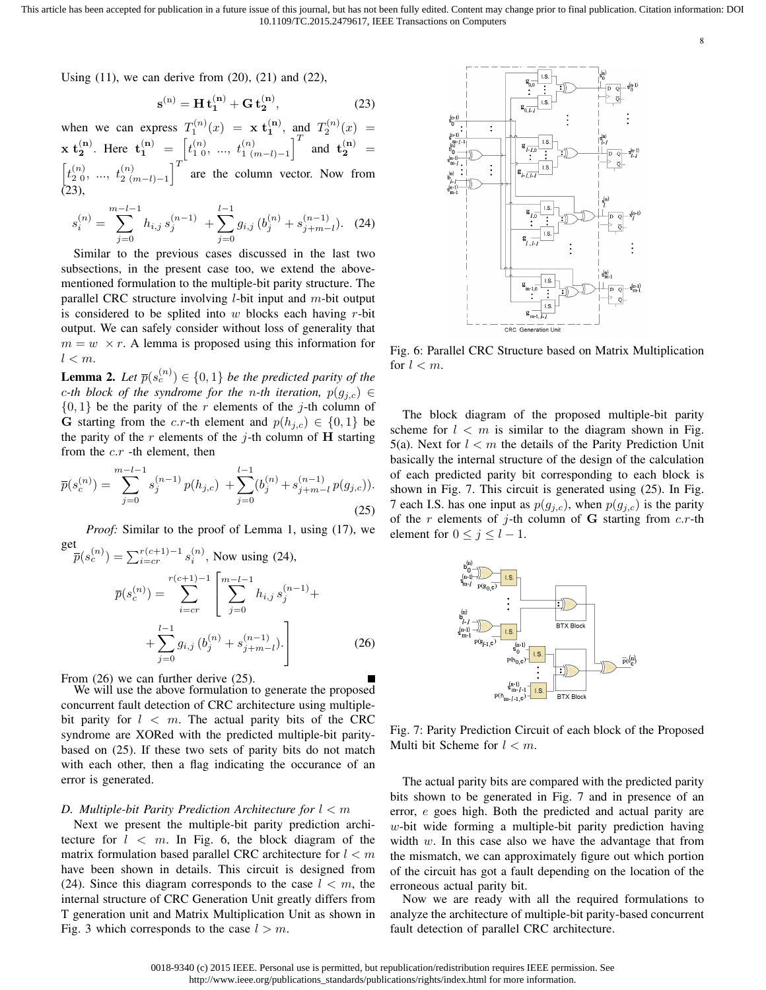Using  $(11)$ , we can derive from  $(20)$ ,  $(21)$  and  $(22)$ ,

$$
s^{(n)} = H t_1^{(n)} + G t_2^{(n)},
$$
 (23)

when we can express  $T_1^{(n)}(x) = \mathbf{x} \mathbf{t}_1^{(n)}$ , and  $T_2^{(n)}(x) =$  $\mathbf{x} \mathbf{t}_{2}^{(\mathbf{n})}$ . Here  $\mathbf{t}_{1}^{(\mathbf{n})} = \begin{bmatrix} t_{1}^{(n)}, & \dots, & t_{1}^{(n)} \end{bmatrix}^{T}$  and  $\mathbf{t}_{2}^{(\mathbf{n})} =$  $\left[t_{2}^{(n)}, \ldots, t_{2(m-l)-1}^{(n)}\right]^T$  are the column vector. Now from (23),

$$
s_i^{(n)} = \sum_{j=0}^{m-l-1} h_{i,j} s_j^{(n-1)} + \sum_{j=0}^{l-1} g_{i,j} (b_j^{(n)} + s_{j+m-l}^{(n-1)}).
$$
 (24)

Similar to the previous cases discussed in the last two subsections, in the present case too, we extend the abovementioned formulation to the multiple-bit parity structure. The parallel CRC structure involving *l*-bit input and  $m$ -bit output is considered to be splited into  $w$  blocks each having  $r$ -bit output. We can safely consider without loss of generality that  $m = w \times r$ . A lemma is proposed using this information for  $l < m$ .

**Lemma 2.** Let  $\overline{p}(s_c^{(n)}) \in \{0,1\}$  be the predicted parity of the c-th block of the syndrome for the n-th iteration,  $p(g_{j,c}) \in$  $\{0, 1\}$  be the parity of the r elements of the j-th column of G starting from the c.r-th element and  $p(h_{i,c}) \in \{0,1\}$  be the parity of the r elements of the j-th column of  $H$  starting from the  $c.r$  -th element, then

$$
\overline{p}(s_c^{(n)}) = \sum_{j=0}^{m-l-1} s_j^{(n-1)} p(h_{j,c}) + \sum_{j=0}^{l-1} (b_j^{(n)} + s_{j+m-l}^{(n-1)} p(g_{j,c})).
$$
\n(25)

*Proof:* Similar to the proof of Lemma 1, using (17), we get  $\overline{p}(s_c^{(n)}) = \sum_{i=cr}^{r(c+1)-1} s_i^{(n)}$ , Now using (24),  $\overline{p}(s_c^{(n)}) =$ r(c $\sum$ +1)−1  $i = cr$  $\lceil$  $\overline{1}$  $\sum^{m-l-1}$  $j=0$  $h_{i,j} s_j^{(n-1)} +$  $+\sum^{l-1}$  $g_{i,j}\, (b_j^{(n)}+s_{j+m-}^{(n-1)}$  $\binom{n-1}{j+m-l}$ . 1 (26)

 $j=0$ From  $(26)$  we can further derive  $(25)$ .

We will use the above formulation to generate the proposed concurrent fault detection of CRC architecture using multiplebit parity for  $l < m$ . The actual parity bits of the CRC syndrome are XORed with the predicted multiple-bit paritybased on (25). If these two sets of parity bits do not match with each other, then a flag indicating the occurance of an error is generated.

## *D. Multiple-bit Parity Prediction Architecture for* l < m

Next we present the multiple-bit parity prediction architecture for  $l \leq m$ . In Fig. 6, the block diagram of the matrix formulation based parallel CRC architecture for  $l < m$ have been shown in details. This circuit is designed from (24). Since this diagram corresponds to the case  $l < m$ , the internal structure of CRC Generation Unit greatly differs from T generation unit and Matrix Multiplication Unit as shown in Fig. 3 which corresponds to the case  $l > m$ .



8

Fig. 6: Parallel CRC Structure based on Matrix Multiplication for  $l < m$ .

The block diagram of the proposed multiple-bit parity scheme for  $l < m$  is similar to the diagram shown in Fig. 5(a). Next for  $l < m$  the details of the Parity Prediction Unit basically the internal structure of the design of the calculation of each predicted parity bit corresponding to each block is shown in Fig. 7. This circuit is generated using (25). In Fig. 7 each I.S. has one input as  $p(g_{j,c})$ , when  $p(g_{j,c})$  is the parity of the  $r$  elements of  $j$ -th column of G starting from  $c.r$ -th element for  $0 \le j \le l-1$ .



Fig. 7: Parity Prediction Circuit of each block of the Proposed Multi bit Scheme for  $l < m$ .

The actual parity bits are compared with the predicted parity bits shown to be generated in Fig. 7 and in presence of an error, e goes high. Both the predicted and actual parity are  $w$ -bit wide forming a multiple-bit parity prediction having width  $w$ . In this case also we have the advantage that from the mismatch, we can approximately figure out which portion of the circuit has got a fault depending on the location of the erroneous actual parity bit.

Now we are ready with all the required formulations to analyze the architecture of multiple-bit parity-based concurrent fault detection of parallel CRC architecture.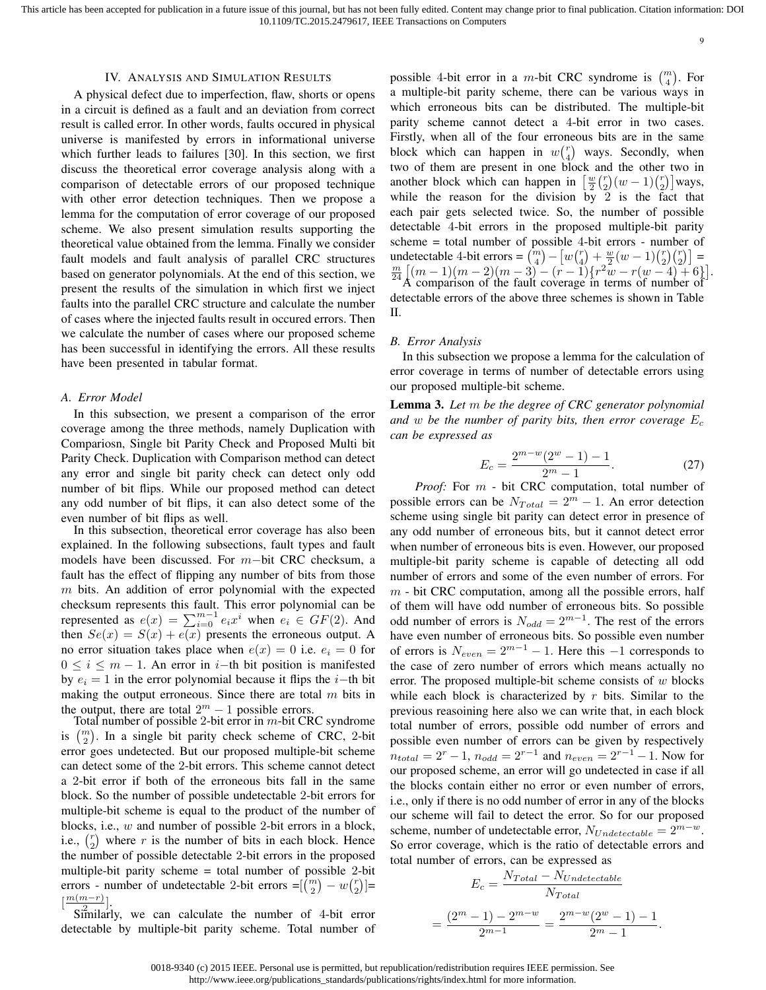This article has been accepted for publication in a future issue of this journal, but has not been fully edited. Content may change prior to final publication. Citation information: DOI 10.1109/TC.2015.2479617, IEEE Transactions on Computers

9

#### IV. ANALYSIS AND SIMULATION RESULTS

A physical defect due to imperfection, flaw, shorts or opens in a circuit is defined as a fault and an deviation from correct result is called error. In other words, faults occured in physical universe is manifested by errors in informational universe which further leads to failures [30]. In this section, we first discuss the theoretical error coverage analysis along with a comparison of detectable errors of our proposed technique with other error detection techniques. Then we propose a lemma for the computation of error coverage of our proposed scheme. We also present simulation results supporting the theoretical value obtained from the lemma. Finally we consider fault models and fault analysis of parallel CRC structures based on generator polynomials. At the end of this section, we present the results of the simulation in which first we inject faults into the parallel CRC structure and calculate the number of cases where the injected faults result in occured errors. Then we calculate the number of cases where our proposed scheme has been successful in identifying the errors. All these results have been presented in tabular format.

#### *A. Error Model*

In this subsection, we present a comparison of the error coverage among the three methods, namely Duplication with Compariosn, Single bit Parity Check and Proposed Multi bit Parity Check. Duplication with Comparison method can detect any error and single bit parity check can detect only odd number of bit flips. While our proposed method can detect any odd number of bit flips, it can also detect some of the even number of bit flips as well.

In this subsection, theoretical error coverage has also been explained. In the following subsections, fault types and fault models have been discussed. For m−bit CRC checksum, a fault has the effect of flipping any number of bits from those  $m$  bits. An addition of error polynomial with the expected checksum represents this fault. This error polynomial can be represented as  $e(x) = \sum_{i=0}^{m-1} e_i x^i$  when  $e_i \in GF(2)$ . And then  $Se(x) = S(x) + e(x)$  presents the erroneous output. A no error situation takes place when  $e(x) = 0$  i.e.  $e_i = 0$  for  $0 \leq i \leq m-1$ . An error in i–th bit position is manifested by  $e_i = 1$  in the error polynomial because it flips the *i*−th bit making the output erroneous. Since there are total  $m$  bits in the output, there are total  $2^m - 1$  possible errors.

Total number of possible 2-bit error in  $m$ -bit CRC syndrome is  $\binom{m}{2}$ . In a single bit parity check scheme of CRC, 2-bit error goes undetected. But our proposed multiple-bit scheme can detect some of the 2-bit errors. This scheme cannot detect a 2-bit error if both of the erroneous bits fall in the same block. So the number of possible undetectable 2-bit errors for multiple-bit scheme is equal to the product of the number of blocks, i.e., w and number of possible 2-bit errors in a block, i.e.,  $\binom{r}{2}$  where r is the number of bits in each block. Hence the number of possible detectable 2-bit errors in the proposed multiple-bit parity scheme = total number of possible 2-bit errors - number of undetectable 2-bit errors = $\begin{bmatrix} \overline{m} \\ 2 \end{bmatrix} - w \begin{bmatrix} r \\ 2 \end{bmatrix}$  =  $\left[\frac{m(m-r)}{2}\right]$ .

 $S_1^2$  in  $I_1^2$ , we can calculate the number of 4-bit error detectable by multiple-bit parity scheme. Total number of

possible 4-bit error in a m-bit CRC syndrome is  $\binom{m}{4}$ . For a multiple-bit parity scheme, there can be various ways in which erroneous bits can be distributed. The multiple-bit parity scheme cannot detect a 4-bit error in two cases. Firstly, when all of the four erroneous bits are in the same block which can happen in  $w\binom{r}{4}$  ways. Secondly, when two of them are present in one block and the other two in another block which can happen in  $\left[\frac{w}{2}\binom{r}{2}(w-1)\binom{r}{2}\right]$  ways, while the reason for the division by 2 is the fact that each pair gets selected twice. So, the number of possible detectable 4-bit errors in the proposed multiple-bit parity scheme = total number of possible 4-bit errors - number of undetectable 4-bit errors =  $\binom{m}{4} - \left[ w \binom{r}{4} + \frac{w}{2} (w - 1) \binom{r}{2} \binom{r}{2} \right] =$  $\frac{m}{24} \left[ (m-1)(m-2)(m-3) - (r-1) \left\{ r^2w - r(w-4) + 6 \right\} \right].$ A comparison of the fault coverage in terms of number of detectable errors of the above three schemes is shown in Table II.

#### *B. Error Analysis*

In this subsection we propose a lemma for the calculation of error coverage in terms of number of detectable errors using our proposed multiple-bit scheme.

Lemma 3. *Let* m *be the degree of CRC generator polynomial and* w be the number of parity bits, then error coverage  $E_c$ *can be expressed as*

$$
E_c = \frac{2^{m-w}(2^w - 1) - 1}{2^m - 1}.
$$
\n(27)

*Proof:* For m - bit CRC computation, total number of possible errors can be  $N_{Total} = 2^m - 1$ . An error detection scheme using single bit parity can detect error in presence of any odd number of erroneous bits, but it cannot detect error when number of erroneous bits is even. However, our proposed multiple-bit parity scheme is capable of detecting all odd number of errors and some of the even number of errors. For  $m$  - bit CRC computation, among all the possible errors, half of them will have odd number of erroneous bits. So possible odd number of errors is  $N_{odd} = 2^{m-1}$ . The rest of the errors have even number of erroneous bits. So possible even number of errors is  $N_{even} = 2^{m-1} - 1$ . Here this -1 corresponds to the case of zero number of errors which means actually no error. The proposed multiple-bit scheme consists of  $w$  blocks while each block is characterized by  $r$  bits. Similar to the previous reasoining here also we can write that, in each block total number of errors, possible odd number of errors and possible even number of errors can be given by respectively  $n_{total} = 2^{r} - 1$ ,  $n_{odd} = 2^{r-1}$  and  $n_{even} = 2^{r-1} - 1$ . Now for our proposed scheme, an error will go undetected in case if all the blocks contain either no error or even number of errors, i.e., only if there is no odd number of error in any of the blocks our scheme will fail to detect the error. So for our proposed scheme, number of undetectable error,  $N_{Undetectable} = 2^{m-w}$ . So error coverage, which is the ratio of detectable errors and total number of errors, can be expressed as

$$
E_c = \frac{N_{Total} - N_{Undetectable}}{N_{Total}}
$$

$$
= \frac{(2^m - 1) - 2^{m-w}}{2^{m-1}} = \frac{2^{m-w}(2^w - 1) - 1}{2^m - 1}.
$$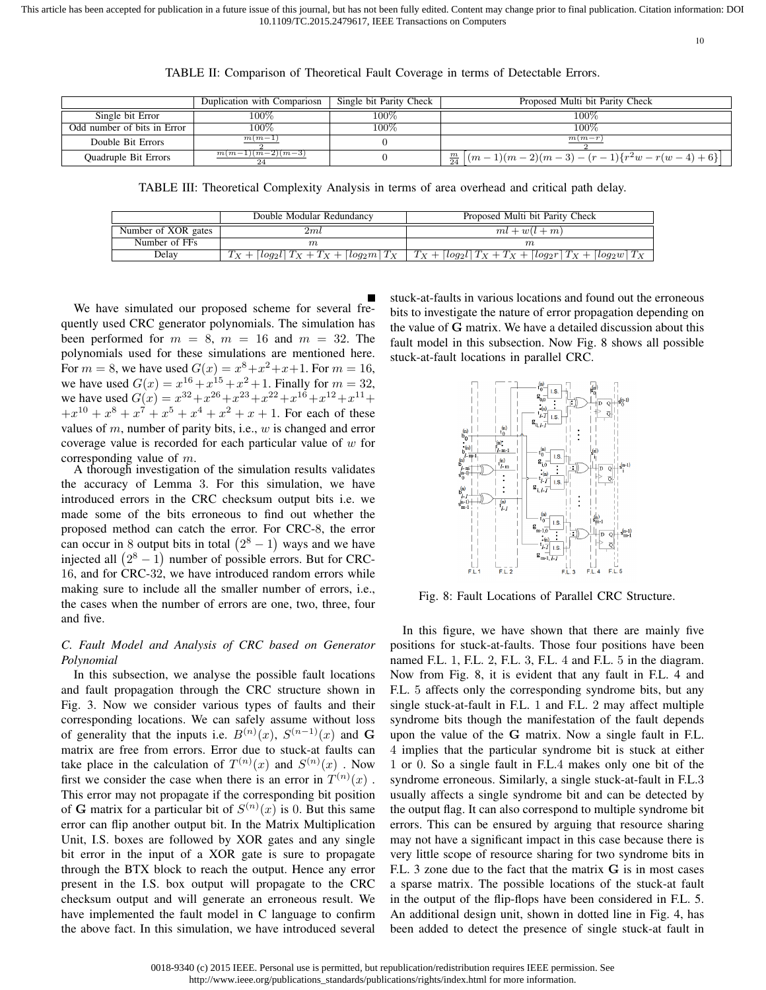This article has been accepted for publication in a future issue of this journal, but has not been fully edited. Content may change prior to final publication. Citation information: DOI 10.1109/TC.2015.2479617, IEEE Transactions on Computers

10

|                             | Duplication with Compariosn | Single bit Parity Check | Proposed Multi bit Parity Check                                                         |
|-----------------------------|-----------------------------|-------------------------|-----------------------------------------------------------------------------------------|
| Single bit Error            | $.00\%$                     | 100%                    | 100%                                                                                    |
| Odd number of bits in Error | 100%                        | 100%                    | $100\%$                                                                                 |
| Double Bit Errors           | $m(m-1)$                    |                         | $m(m-r)$                                                                                |
| <b>Ouadruple Bit Errors</b> | $m(m-1)(m-2)(m-3)$          |                         | $\frac{m}{24}$ $\left[ (m-1)(m-2)(m-3) - (r-1)\left\{r^2w - r(w-4) + 6\right\} \right]$ |

TABLE II: Comparison of Theoretical Fault Coverage in terms of Detectable Errors.

TABLE III: Theoretical Complexity Analysis in terms of area overhead and critical path delay.

|                     | Double Modular Redundancy | Proposed Multi bit Parity Check                                                                                                                                    |
|---------------------|---------------------------|--------------------------------------------------------------------------------------------------------------------------------------------------------------------|
| Number of XOR gates | 2ml                       | $ml+w(l+m)$                                                                                                                                                        |
| Number of FFs       |                           | m                                                                                                                                                                  |
| Delav               |                           | $\lceil log_2 l \rceil T_X + T_X + \lceil log_2 m \rceil T_X \rceil T_X + \lceil log_2 l \rceil T_X + T_X + \lceil log_2 r \rceil T_X + \lceil log_2 w \rceil T_X$ |

We have simulated our proposed scheme for several frequently used CRC generator polynomials. The simulation has been performed for  $m = 8$ ,  $m = 16$  and  $m = 32$ . The polynomials used for these simulations are mentioned here. For  $m = 8$ , we have used  $G(x) = x^8 + x^2 + x + 1$ . For  $m = 16$ , we have used  $G(x) = x^{16} + x^{15} + x^2 + 1$ . Finally for  $m = 32$ , we have used  $G(x) = x^{32} + x^{26} + x^{23} + x^{22} + x^{16} + x^{12} + x^{11} + x^{12} + x^{13} + x^{14} + x^{15} + x^{16} + x^{17} + x^{18} + x^{19} + x^{10} + x^{11} + x^{12} + x^{13} + x^{14} + x^{15} + x^{16} + x^{17} + x^{18} + x^{19} + x^{10} + x^{11} + x^{11} + x^{12} + x^{13} + x^{14} + x^{15} + x^{16} + x^{17}$  $+x^{10} + x^8 + x^7 + x^5 + x^4 + x^2 + x + 1$ . For each of these values of  $m$ , number of parity bits, i.e.,  $w$  is changed and error coverage value is recorded for each particular value of  $w$  for corresponding value of m.

A thorough investigation of the simulation results validates the accuracy of Lemma 3. For this simulation, we have introduced errors in the CRC checksum output bits i.e. we made some of the bits erroneous to find out whether the proposed method can catch the error. For CRC-8, the error can occur in 8 output bits in total  $(2^8 - 1)$  ways and we have injected all  $(2^8 - 1)$  number of possible errors. But for CRC-16, and for CRC-32, we have introduced random errors while making sure to include all the smaller number of errors, i.e., the cases when the number of errors are one, two, three, four and five.

# *C. Fault Model and Analysis of CRC based on Generator Polynomial*

In this subsection, we analyse the possible fault locations and fault propagation through the CRC structure shown in Fig. 3. Now we consider various types of faults and their corresponding locations. We can safely assume without loss of generality that the inputs i.e.  $B^{(n)}(x)$ ,  $S^{(n-1)}(x)$  and G matrix are free from errors. Error due to stuck-at faults can take place in the calculation of  $T^{(n)}(x)$  and  $S^{(n)}(x)$ . Now first we consider the case when there is an error in  $T^{(n)}(x)$ . This error may not propagate if the corresponding bit position of G matrix for a particular bit of  $S^{(n)}(x)$  is 0. But this same error can flip another output bit. In the Matrix Multiplication Unit, I.S. boxes are followed by XOR gates and any single bit error in the input of a XOR gate is sure to propagate through the BTX block to reach the output. Hence any error present in the I.S. box output will propagate to the CRC checksum output and will generate an erroneous result. We have implemented the fault model in C language to confirm the above fact. In this simulation, we have introduced several stuck-at-faults in various locations and found out the erroneous bits to investigate the nature of error propagation depending on the value of G matrix. We have a detailed discussion about this fault model in this subsection. Now Fig. 8 shows all possible stuck-at-fault locations in parallel CRC.



Fig. 8: Fault Locations of Parallel CRC Structure.

In this figure, we have shown that there are mainly five positions for stuck-at-faults. Those four positions have been named F.L. 1, F.L. 2, F.L. 3, F.L. 4 and F.L. 5 in the diagram. Now from Fig. 8, it is evident that any fault in F.L. 4 and F.L. 5 affects only the corresponding syndrome bits, but any single stuck-at-fault in F.L. 1 and F.L. 2 may affect multiple syndrome bits though the manifestation of the fault depends upon the value of the G matrix. Now a single fault in F.L. 4 implies that the particular syndrome bit is stuck at either 1 or 0. So a single fault in F.L.4 makes only one bit of the syndrome erroneous. Similarly, a single stuck-at-fault in F.L.3 usually affects a single syndrome bit and can be detected by the output flag. It can also correspond to multiple syndrome bit errors. This can be ensured by arguing that resource sharing may not have a significant impact in this case because there is very little scope of resource sharing for two syndrome bits in F.L. 3 zone due to the fact that the matrix G is in most cases a sparse matrix. The possible locations of the stuck-at fault in the output of the flip-flops have been considered in F.L. 5. An additional design unit, shown in dotted line in Fig. 4, has been added to detect the presence of single stuck-at fault in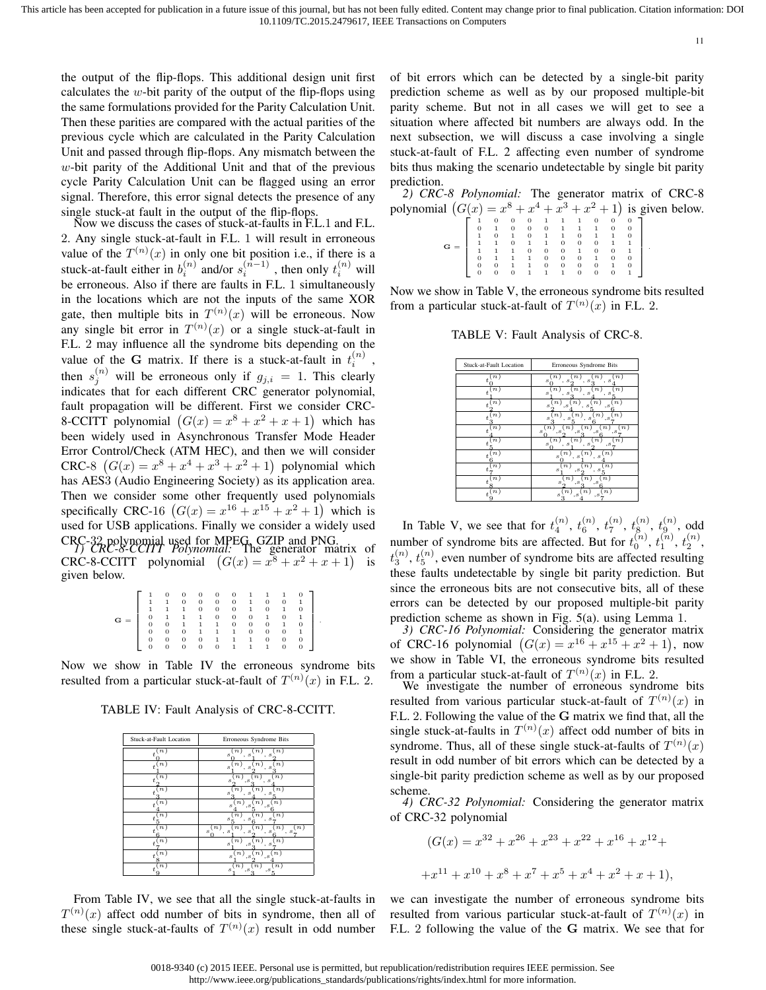the output of the flip-flops. This additional design unit first calculates the w-bit parity of the output of the flip-flops using the same formulations provided for the Parity Calculation Unit. Then these parities are compared with the actual parities of the previous cycle which are calculated in the Parity Calculation Unit and passed through flip-flops. Any mismatch between the  $w$ -bit parity of the Additional Unit and that of the previous cycle Parity Calculation Unit can be flagged using an error signal. Therefore, this error signal detects the presence of any single stuck-at fault in the output of the flip-flops.

Now we discuss the cases of stuck-at-faults in F.L.1 and F.L. 2. Any single stuck-at-fault in F.L. 1 will result in erroneous value of the  $T^{(n)}(x)$  in only one bit position i.e., if there is a stuck-at-fault either in  $b_i^{(n)}$  and/or  $s_i^{(n-1)}$  , then only  $t_i^{(n)}$  will be erroneous. Also if there are faults in F.L. 1 simultaneously in the locations which are not the inputs of the same XOR gate, then multiple bits in  $T^{(n)}(x)$  will be erroneous. Now any single bit error in  $T^{(n)}(x)$  or a single stuck-at-fault in F.L. 2 may influence all the syndrome bits depending on the value of the G matrix. If there is a stuck-at-fault in  $t_i^{(n)}$ , then  $s_j^{(n)}$  will be erroneous only if  $g_{j,i} = 1$ . This clearly indicates that for each different CRC generator polynomial, fault propagation will be different. First we consider CRC-8-CCITT polynomial  $(G(x) = x^8 + x^2 + x + 1)$  which has been widely used in Asynchronous Transfer Mode Header Error Control/Check (ATM HEC), and then we will consider CRC-8  $(G(x) = x^8 + x^4 + x^3 + x^2 + 1)$  polynomial which has AES3 (Audio Engineering Society) as its application area. Then we consider some other frequently used polynomials specifically CRC-16  $(G(x) = x^{16} + x^{15} + x^2 + 1)$  which is used for USB applications. Finally we consider a widely used CRC-<sup>32</sup> polynomial used for MPEG, GZIP and PNG. *1) CRC-8-CCITT Polynomial:* The generator matrix of CRC-8-CCITT polynomial  $(G(x) = x^8 + x^2 + x + 1)$  is given below.

|   |              |                | 0              | 0 | 0        | 0            |              |   |              |          |  |
|---|--------------|----------------|----------------|---|----------|--------------|--------------|---|--------------|----------|--|
|   | 1            |                | 0              | 0 | $\theta$ | $\mathbf{0}$ | 1            | 0 | 0            | 1        |  |
|   |              |                |                | 0 | 0        | 0            | 1            | 0 | 1            | 0        |  |
| G | 0            | 1              |                | 1 | 0        | $\theta$     | $\mathbf{0}$ | 1 | $\mathbf{0}$ |          |  |
|   | $\mathbf{0}$ | $\overline{0}$ | $\overline{1}$ | 1 | 1        | 0            | $\mathbf{0}$ | 0 | 1            | $\theta$ |  |
|   | $\mathbf{0}$ | $\mathbf{0}$   | 0              |   | 1        | 1            | 0            | 0 | $\mathbf{0}$ |          |  |
|   | 0            | 0              | 0              | 0 | 1        |              | 1            | 0 | 0            | 0        |  |
|   | 0            | O              | 0              | 0 | 0        |              |              |   | 0            |          |  |

Now we show in Table IV the erroneous syndrome bits resulted from a particular stuck-at-fault of  $T^{(n)}(x)$  in F.L. 2.

TABLE IV: Fault Analysis of CRC-8-CCITT.

| Stuck-at-Fault Location            | Erroneous Syndrome Bits                                                                                                                |
|------------------------------------|----------------------------------------------------------------------------------------------------------------------------------------|
| $\boldsymbol{n}$<br>$\overline{t}$ | $\boldsymbol{n}$<br>s<br>. s<br>. s                                                                                                    |
| $\boldsymbol{n}$<br>$\overline{t}$ | $\overline{n}$<br>$\boldsymbol{n}$<br>$\it n$<br>s<br>s<br>s                                                                           |
| $\scriptstyle n$                   | $\boldsymbol{n}$<br>$\boldsymbol{n}$<br>s<br>s<br>$\cdot$ s                                                                            |
| $\boldsymbol{n}$<br>t.             | $\boldsymbol{n}$<br>$\boldsymbol{n}$<br>s<br>s<br>s                                                                                    |
| $\boldsymbol{n}$<br>Ŧ              | $\boldsymbol{n}$<br>$\boldsymbol{n}$<br>$\it n$<br>s<br>$\cdot$ s<br>$\cdot$ s                                                         |
| $\boldsymbol{n}$                   | $\boldsymbol{n}$<br>$\boldsymbol{n}$<br>$\boldsymbol{n}$<br>s<br>. s<br>s                                                              |
| $\boldsymbol{n}$<br>$\ddot{t}$     | (n)<br>$\scriptstyle n$<br>$\boldsymbol{n}$<br>$\scriptstyle n$<br>$\boldsymbol{n}$<br>$\boldsymbol{s}$<br>, s<br>s<br>. s<br>. s<br>۰ |
| $\boldsymbol{n}$<br>$\overline{t}$ | $\boldsymbol{n}$<br>$\boldsymbol{n}$<br>$\boldsymbol{n}$<br>s<br>$\cdot$ s<br>s                                                        |
| $\boldsymbol{n}$<br>$\ddot{}$      | $\boldsymbol{n}$<br>n)<br>$\boldsymbol{n}$<br>$\cdot$ s<br>s<br>, s                                                                    |
| n)                                 | n)<br>$\boldsymbol{n}$<br>n)<br>s<br>$\cdot$ s<br>. s                                                                                  |

From Table IV, we see that all the single stuck-at-faults in  $T^{(n)}(x)$  affect odd number of bits in syndrome, then all of these single stuck-at-faults of  $T^{(n)}(x)$  result in odd number of bit errors which can be detected by a single-bit parity prediction scheme as well as by our proposed multiple-bit parity scheme. But not in all cases we will get to see a situation where affected bit numbers are always odd. In the next subsection, we will discuss a case involving a single stuck-at-fault of F.L. 2 affecting even number of syndrome bits thus making the scenario undetectable by single bit parity prediction.

*2) CRC-8 Polynomial:* The generator matrix of CRC-8 polynomial  $(G(x) = x^8 + x^4 + x^3 + x^2 + 1)$  is given below.  $\left[\begin{array}{ccccccc} 1 & 0 & 0 & 0 & 1 & 1 & 1 & 0 & 0 & 0 \\ 0 & 1 & 0 & 0 & 0 & 1 & 1 & 1 & 0 & 0 \end{array}\right]$ 

|             |                |                |                |                                                                                                      |  |                |          | $\begin{bmatrix} 0 & 1 & 0 & 0 & 0 & 1 & 1 & 1 & 0 & 0 \\ 1 & 0 & 1 & 0 & 1 & 1 & 0 & 1 & 1 & 0 \end{bmatrix}$ |  |
|-------------|----------------|----------------|----------------|------------------------------------------------------------------------------------------------------|--|----------------|----------|----------------------------------------------------------------------------------------------------------------|--|
| $G = \perp$ |                |                |                |                                                                                                      |  |                |          |                                                                                                                |  |
|             |                |                |                | $\begin{array}{cccccccc} 1 & 1 & 0 & 1 & 1 & 0 & 0 & 0 \\ 1 & 1 & 1 & 0 & 0 & 0 & 1 & 0 \end{array}$ |  |                |          | $\begin{bmatrix} 1 & 1 \\ 0 & 1 \end{bmatrix}$ .                                                               |  |
|             | $\overline{0}$ |                |                | $\begin{array}{cccccccc} & 1 & 1 & 0 & 0 & 0 & 1 & 0 \\ & 1 & 1 & 0 & 0 & 0 & 0 & 1 \end{array}$     |  |                |          | $\begin{array}{ccc} & 0 \\ \end{array}$                                                                        |  |
|             | 0              |                |                |                                                                                                      |  |                |          |                                                                                                                |  |
|             | $\sigma$       | $\overline{0}$ | $\overline{0}$ | $1 \quad 1 \quad 0$                                                                                  |  | $\overline{0}$ | $\Omega$ | $\overline{1}$                                                                                                 |  |

Now we show in Table V, the erroneous syndrome bits resulted from a particular stuck-at-fault of  $T^{(n)}(x)$  in F.L. 2.

TABLE V: Fault Analysis of CRC-8.

| Stuck-at-Fault Location            | Erroneous Syndrome Bits                                                                                       |
|------------------------------------|---------------------------------------------------------------------------------------------------------------|
| $\overline{n}$<br>$\overline{t}$   | s<br>-S<br>s<br>s                                                                                             |
| $\boldsymbol{n}$<br>$\overline{t}$ | $\boldsymbol{n}$<br>$\boldsymbol{n}$<br>$\boldsymbol{n}$<br>$\boldsymbol{n}$<br>s<br>s<br>$\mathcal{S}$<br>s  |
| $\boldsymbol{n}$<br>t.             | $\, n \,$<br>$\boldsymbol{n}$<br>η.<br>s<br>$\cdot$ s<br>$\cdot$ s<br>s                                       |
| $\boldsymbol{n}$<br>t.             | $\boldsymbol{n}$<br>$\boldsymbol{n}$<br>$\boldsymbol{n}$<br>s<br>s<br>s<br>.s                                 |
| $\boldsymbol{n}$<br>$\overline{t}$ | $s^{(\vec{n})}$<br>$\boldsymbol{n}$<br>$\it n$<br>$\it n$<br>$\cdot$ s<br>$\cdot$ s<br>$\cdot$ s<br>$\cdot$ s |
| $\boldsymbol{n}$                   | $\boldsymbol{n}$<br>$\boldsymbol{n}$<br>$\boldsymbol{n}$<br>$\boldsymbol{n}$<br>s<br>s<br>s<br>$\cdot$ s      |
| $\boldsymbol{n}$<br>$\overline{t}$ | $\boldsymbol{n}$<br>$\boldsymbol{n}$<br>$\boldsymbol{n}$<br>s<br>$\boldsymbol{s}$<br>s                        |
| $\boldsymbol{n}$<br>$\overline{t}$ | n)<br>$\boldsymbol{n}$<br>$\boldsymbol{n}$<br>s<br>$\cdot$ s<br>$\boldsymbol{s}$                              |
| $\boldsymbol{n}$<br>$\overline{t}$ | n<br>$\boldsymbol{n}$<br>$\boldsymbol{n}$<br>s<br>, s<br>,s                                                   |
| n                                  | $\boldsymbol{n}$<br>n)<br>n<br>s<br>$\cdot$ s<br>, s                                                          |

In Table V, we see that for  $t_4^{(n)}$ ,  $t_6^{(n)}$ ,  $t_7^{(n)}$ ,  $t_8^{(n)}$ ,  $t_9^{(n)}$ , odd number of syndrome bits are affected. But for  $t_0^{(n)}$ ,  $t_1^{(n)}$ ,  $t_2^{(n)}$ ,  $t_3^{(n)}$ ,  $t_5^{(n)}$ , even number of syndrome bits are affected resulting these faults undetectable by single bit parity prediction. But since the erroneous bits are not consecutive bits, all of these errors can be detected by our proposed multiple-bit parity prediction scheme as shown in Fig. 5(a). using Lemma 1.

*3) CRC-16 Polynomial:* Considering the generator matrix of CRC-16 polynomial  $(G(x) = x^{16} + x^{15} + x^2 + 1)$ , now we show in Table VI, the erroneous syndrome bits resulted from a particular stuck-at-fault of  $T^{(n)}(x)$  in F.L. 2.

We investigate the number of erroneous syndrome bits resulted from various particular stuck-at-fault of  $T^{(n)}(x)$  in F.L. 2. Following the value of the G matrix we find that, all the single stuck-at-faults in  $T^{(n)}(x)$  affect odd number of bits in syndrome. Thus, all of these single stuck-at-faults of  $T^{(n)}(x)$ result in odd number of bit errors which can be detected by a single-bit parity prediction scheme as well as by our proposed scheme.

*4) CRC-32 Polynomial:* Considering the generator matrix of CRC-32 polynomial

$$
(G(x) = x32 + x26 + x23 + x22 + x16 + x12 +
$$
  
+x<sup>11</sup> + x<sup>10</sup> + x<sup>8</sup> + x<sup>7</sup> + x<sup>5</sup> + x<sup>4</sup> + x<sup>2</sup> + x + 1),

we can investigate the number of erroneous syndrome bits resulted from various particular stuck-at-fault of  $T^{(n)}(x)$  in F.L. 2 following the value of the G matrix. We see that for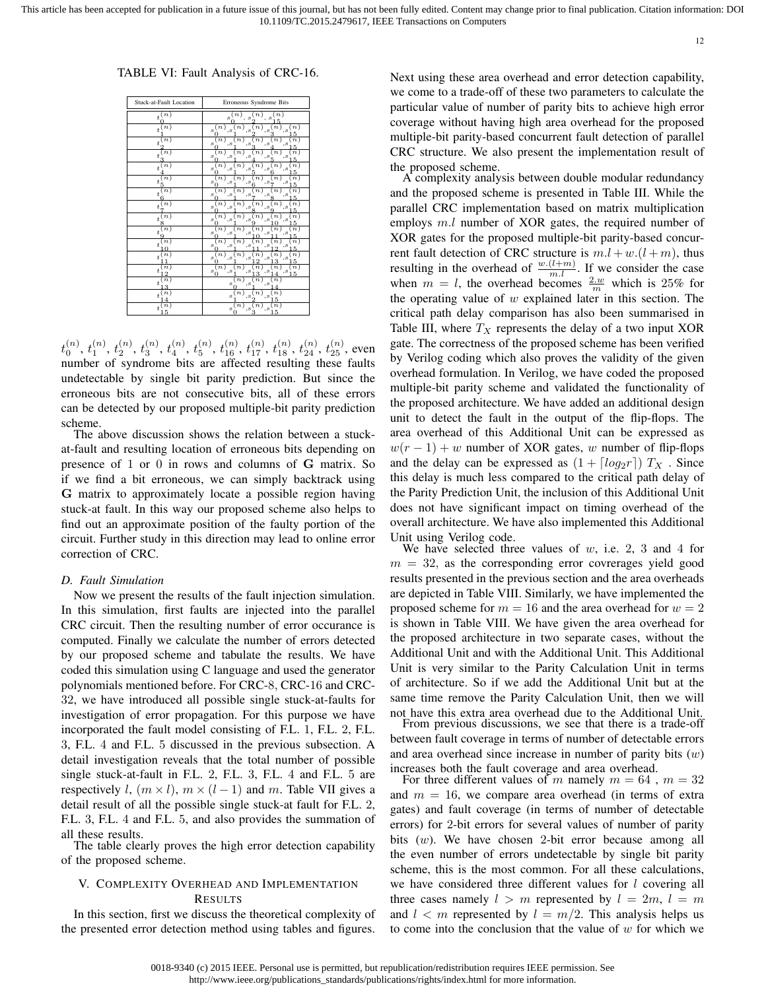12

TABLE VI: Fault Analysis of CRC-16.

| Stuck-at-Fault Location                      | Erroneous Syndrome Bits                                                                                                               |
|----------------------------------------------|---------------------------------------------------------------------------------------------------------------------------------------|
| $\boldsymbol{t}^{\,(\overline{n})}_\text{c}$ | n)<br>n<br>n)<br>$\boldsymbol{s}$<br>s<br>s<br>,                                                                                      |
| n)<br>$\bar{t}$                              | (n)<br>n)<br>n)<br>$\boldsymbol{n}$<br>n)<br>s<br>, s<br>, s<br>$\cdot$ s<br>$, s$<br>5                                               |
| n)<br>$\boldsymbol{t}$                       | n)<br>$\overline{n}$ )<br>$\boldsymbol{n}$<br>$\it n$<br>$\boldsymbol{n}$<br>s<br>, s<br>, s<br>,s<br>$, s$<br>5<br>0                 |
| $\boldsymbol{n}$<br>$\boldsymbol{t}$<br>3    | $\bar{n}$ )<br>$\boldsymbol{n}$<br>$\boldsymbol{n}$<br>$\scriptstyle n$<br>$\boldsymbol{n}$<br>s<br>$, s$<br>, s<br>$, s$<br>, s<br>5 |
| $\left\lfloor n \right\rfloor$<br>$\bar{t}$  | $\bar{n}$ )<br>$\scriptstyle n$<br>n)<br>$\it n$<br>n)<br>s<br>$\cdot$ s<br>, s<br>, s<br>$, s$<br>5<br>ſ                             |
| $\boldsymbol{n}$<br>$\bar{t}$<br>5           | $\scriptstyle(n)$<br>n)<br>n)<br>n)<br>n)<br>s<br>, s<br>, s<br>, s<br>, s<br>5<br>0                                                  |
| $\boldsymbol{n}$<br>$\bar{t}$<br>6           | n)<br>n)<br>n)<br>n)<br>n)<br>s<br>$_{,s}$<br>$, s$<br>$_{,s}$<br>, s<br>5<br>O                                                       |
| n)<br>$\boldsymbol{t}$                       | n)<br>n)<br>n)<br>$\boldsymbol{n}$<br>$\it n$<br>s<br>,s<br>, s<br>, s<br>$_{,s}$<br>5<br>U                                           |
| n)<br>$\bar{t}$<br>8                         | n)<br>$\overline{n}$ )<br>$\boldsymbol{n}$<br>$\overline{n}$ )<br>$\boldsymbol{n}$<br>s<br>, s<br>, s<br>$, s$<br>$, s$<br>5          |
| $\boldsymbol{n}$<br>$\bar{t}$<br>9           | $\boldsymbol{n}$<br>$\overline{n}$ )<br>n)<br>$\boldsymbol{n}$<br>$\it n$<br>s<br>$, s$<br>, s<br>,s<br>$, s$<br>5                    |
| n<br>$\bar{t}$                               | $\bar{n}$ )<br>$\boldsymbol{n}$<br>n)<br>$\bar{n}$ )<br>$\boldsymbol{n}$<br>s<br>$, s$<br>,s<br>, s<br>, s<br>5                       |
| (n)<br>$\bar{t}$                             | n)<br>n)<br>$\boldsymbol{n}$<br>n)<br>$\it n$<br>s<br>, s<br>$\cdot$ s<br>$, s$<br>$, s$<br>5                                         |
| $\boldsymbol{n}$<br>$\bar{t}$                | $\scriptstyle(n)$<br>n)<br>$\boldsymbol{n}$<br>n)<br>$\boldsymbol{n}$<br>s<br>, s<br>$_{,s}$<br>,s<br>, s<br>15<br>0                  |
| $\boldsymbol{n}$<br>$\bar{t}$<br>3           | n)<br>$\boldsymbol{n}$<br>n)<br>s<br>, s<br>, s                                                                                       |
| $\boldsymbol{n}$<br>$\bar{t}$                | $\boldsymbol{n}$<br>$\it n$<br>n)<br>s<br>,s<br>$, s$<br>1.5                                                                          |
| $\overline{\mathfrak{n}}$<br>$\bar{t}$<br>15 | $\overline{n}$ )<br>(n)<br>п<br>s<br>$, s$<br>$, s$<br>$\overline{15}$<br>3                                                           |

 $t^{(n)}_0,\, t^{(n)}_1,\, t^{(n)}_2,\, t^{(n)}_3,\, t^{(n)}_4,\, t^{(n)}_5,\, t^{(n)}_{16},\, t^{(n)}_{17},\, t^{(n)}_{18},\, t^{(n)}_{24},\, t^{(n)}_{25},$  even number of syndrome bits are affected resulting these faults undetectable by single bit parity prediction. But since the erroneous bits are not consecutive bits, all of these errors can be detected by our proposed multiple-bit parity prediction scheme.

The above discussion shows the relation between a stuckat-fault and resulting location of erroneous bits depending on presence of 1 or 0 in rows and columns of G matrix. So if we find a bit erroneous, we can simply backtrack using G matrix to approximately locate a possible region having stuck-at fault. In this way our proposed scheme also helps to find out an approximate position of the faulty portion of the circuit. Further study in this direction may lead to online error correction of CRC.

## *D. Fault Simulation*

Now we present the results of the fault injection simulation. In this simulation, first faults are injected into the parallel CRC circuit. Then the resulting number of error occurance is computed. Finally we calculate the number of errors detected by our proposed scheme and tabulate the results. We have coded this simulation using C language and used the generator polynomials mentioned before. For CRC-8, CRC-16 and CRC-32, we have introduced all possible single stuck-at-faults for investigation of error propagation. For this purpose we have incorporated the fault model consisting of F.L. 1, F.L. 2, F.L. 3, F.L. 4 and F.L. 5 discussed in the previous subsection. A detail investigation reveals that the total number of possible single stuck-at-fault in F.L. 2, F.L. 3, F.L. 4 and F.L. 5 are respectively l,  $(m \times l)$ ,  $m \times (l - 1)$  and m. Table VII gives a detail result of all the possible single stuck-at fault for F.L. 2, F.L. 3, F.L. 4 and F.L. 5, and also provides the summation of all these results.

The table clearly proves the high error detection capability of the proposed scheme.

# V. COMPLEXITY OVERHEAD AND IMPLEMENTATION RESULTS

In this section, first we discuss the theoretical complexity of the presented error detection method using tables and figures. Next using these area overhead and error detection capability, we come to a trade-off of these two parameters to calculate the particular value of number of parity bits to achieve high error coverage without having high area overhead for the proposed multiple-bit parity-based concurrent fault detection of parallel CRC structure. We also present the implementation result of the proposed scheme.

A complexity analysis between double modular redundancy and the proposed scheme is presented in Table III. While the parallel CRC implementation based on matrix multiplication employs m.l number of XOR gates, the required number of XOR gates for the proposed multiple-bit parity-based concurrent fault detection of CRC structure is  $m.l + w.(l + m)$ , thus resulting in the overhead of  $\frac{w(1+m)}{m!}$ . If we consider the case when  $m = l$ , the overhead becomes  $\frac{2w}{m}$  which is 25% for the operating value of  $w$  explained later in this section. The critical path delay comparison has also been summarised in Table III, where  $T_X$  represents the delay of a two input XOR gate. The correctness of the proposed scheme has been verified by Verilog coding which also proves the validity of the given overhead formulation. In Verilog, we have coded the proposed multiple-bit parity scheme and validated the functionality of the proposed architecture. We have added an additional design unit to detect the fault in the output of the flip-flops. The area overhead of this Additional Unit can be expressed as  $w(r-1) + w$  number of XOR gates, w number of flip-flops and the delay can be expressed as  $(1 + \lceil log_2 r \rceil) T_X$ . Since this delay is much less compared to the critical path delay of the Parity Prediction Unit, the inclusion of this Additional Unit does not have significant impact on timing overhead of the overall architecture. We have also implemented this Additional Unit using Verilog code.

We have selected three values of  $w$ , i.e. 2, 3 and 4 for  $m = 32$ , as the corresponding error covrerages yield good results presented in the previous section and the area overheads are depicted in Table VIII. Similarly, we have implemented the proposed scheme for  $m = 16$  and the area overhead for  $w = 2$ is shown in Table VIII. We have given the area overhead for the proposed architecture in two separate cases, without the Additional Unit and with the Additional Unit. This Additional Unit is very similar to the Parity Calculation Unit in terms of architecture. So if we add the Additional Unit but at the same time remove the Parity Calculation Unit, then we will not have this extra area overhead due to the Additional Unit.

From previous discussions, we see that there is a trade-off between fault coverage in terms of number of detectable errors and area overhead since increase in number of parity bits  $(w)$ increases both the fault coverage and area overhead.

For three different values of m namely  $m = 64$ ,  $m = 32$ and  $m = 16$ , we compare area overhead (in terms of extra gates) and fault coverage (in terms of number of detectable errors) for 2-bit errors for several values of number of parity bits (w). We have chosen 2-bit error because among all the even number of errors undetectable by single bit parity scheme, this is the most common. For all these calculations, we have considered three different values for *l* covering all three cases namely  $l > m$  represented by  $l = 2m$ ,  $l = m$ and  $l < m$  represented by  $l = m/2$ . This analysis helps us to come into the conclusion that the value of  $w$  for which we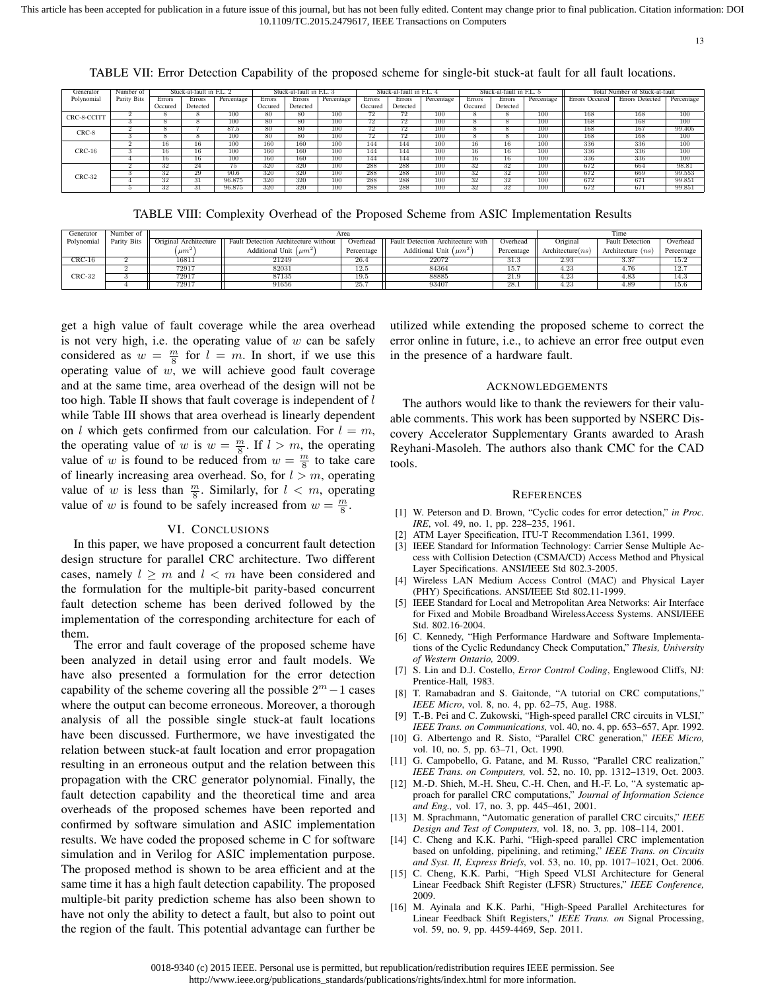This article has been accepted for publication in a future issue of this journal, but has not been fully edited. Content may change prior to final publication. Citation information: DOI 10.1109/TC.2015.2479617, IEEE Transactions on Computers

13

|             |             |         |                          |            |               |                          |            |                          |               |            | ັ       |                          |            |                                |                 |            |
|-------------|-------------|---------|--------------------------|------------|---------------|--------------------------|------------|--------------------------|---------------|------------|---------|--------------------------|------------|--------------------------------|-----------------|------------|
| Generator   | Number of   |         | Stuck-at-fault in F.L. 2 |            |               | Stuck-at-fault in F.L. 3 |            | Stuck-at-fault in F.L. 4 |               |            |         | Stuck-at-fault in F.L. 5 |            | Total Number of Stuck-at-fault |                 |            |
| Polynomial  | Parity Bits | Errors  | Errors                   | Percentage | <b>Errors</b> | Errors                   | Percentage | Errors                   | <b>Errors</b> | Percentage | Errors  | Errors                   | Percentage | Errors Occured                 | Errors Detected | Percentage |
|             |             | Occured | Detected                 |            | Occured       | Detected                 |            | Occured                  | Detected      |            | Occured | Detected                 |            |                                |                 |            |
| CRC-8-CCITT |             |         |                          | 100        | 80            | 80                       | 100        | 72                       | 72            | 100        |         |                          | 100        | 168                            | 168             | 100        |
|             |             |         | õ                        | 100        | 80            | 80                       | 100        | 72                       | 72            | 100        |         |                          | 100        | 168                            | 168             | 100        |
| $CRC-8$     |             |         |                          | 87.5       | 80            | 80                       | 100        | 72                       | 72            | 100        |         |                          | 100        | 168                            | 167             | 99.405     |
|             |             |         |                          | 100        | 80            | 80                       | 100        | 72                       | 72            | 100        |         |                          | 100        | 168                            | 168             | 100        |
|             |             | 16      | 16                       | 100        | 160           | 160                      | 100        | 144                      | 144           | 100        | 16      | 16                       | 100        | 336                            | 336             | 100        |
| $CRC-16$    |             | 16      | 16                       | 100        | 160           | 160                      | 100        | 144                      | 144           | 100        | 16      | 16                       | 100        | 336                            | 336             | 100        |
|             |             | 16      | 16                       | 100        | 160           | 160                      | 100        | 144                      | 144           | 100        | 16      | 16                       | 100        | 336                            | 336             | 100        |
|             |             | 32      | 24                       | 75         | 320           | 320                      | 100        | 288                      | 288           | 100        | 32      | 32                       | 100        | 672                            | 664             | 98.81      |

3 32 29 90.6 320 320 100 288 288 100 32 32 100 672 669 99.553 4 32 31 96.875 320 320 100 288 288 100 32 32 100 672 671 99.851 5 32 31 96.875 320 320 100 288 288 100 32 32 100 672 671 99.851

TABLE VII: Error Detection Capability of the proposed scheme for single-bit stuck-at fault for all fault locations.

TABLE VIII: Complexity Overhead of the Proposed Scheme from ASIC Implementation Results

| Generator  | Number of   |                       | Area                                 | Time       |                                   |            |                     |                        |            |
|------------|-------------|-----------------------|--------------------------------------|------------|-----------------------------------|------------|---------------------|------------------------|------------|
| Polynomial | Parity Bits | Original Architecture | Fault Detection Architecture without | Overhead   | Fault Detection Architecture with | Overhead   | Original            | <b>Fault Detection</b> | Overhead   |
|            |             | $um^2$                | Additional Unit $(\mu m^2)$          | Percentage | Additional Unit $(\mu m^2)$       | Percentage | Architecture $(ns)$ | Architecture $(ns)$    | Percentage |
| $CRC-16$   |             | 16811                 | 21249                                | 26.4       | 22072                             | 31.3       | 2.93                | 3.37                   | 15.2       |
|            |             | 72917                 | 82031                                | 12.5       | 84364                             | 15.7       | 4.23                | 4.76                   | 12.7       |
| CRC-32     |             | 72917                 | 87135                                | 19.5       | 88885                             | 21.9       | $\overline{4.23}$   | 4.83                   | 14.3       |
|            |             | 72917                 | 91656                                | 25.7       | 93407                             | 28.1       | 4.23                | 4.89                   | 15.6       |

get a high value of fault coverage while the area overhead is not very high, i.e. the operating value of  $w$  can be safely considered as  $w = \frac{m}{8}$  for  $l = m$ . In short, if we use this operating value of  $w$ , we will achieve good fault coverage and at the same time, area overhead of the design will not be too high. Table II shows that fault coverage is independent of  $l$ while Table III shows that area overhead is linearly dependent on l which gets confirmed from our calculation. For  $l = m$ , the operating value of w is  $w = \frac{m}{8}$ . If  $l > m$ , the operating value of w is found to be reduced from  $w = \frac{m}{8}$  to take care of linearly increasing area overhead. So, for  $l > m$ , operating value of w is less than  $\frac{m}{8}$ . Similarly, for  $l < m$ , operating value of w is found to be safely increased from  $w = \frac{m}{8}$ .

CRC-32

#### VI. CONCLUSIONS

In this paper, we have proposed a concurrent fault detection design structure for parallel CRC architecture. Two different cases, namely  $l \geq m$  and  $l < m$  have been considered and the formulation for the multiple-bit parity-based concurrent fault detection scheme has been derived followed by the implementation of the corresponding architecture for each of them.

The error and fault coverage of the proposed scheme have been analyzed in detail using error and fault models. We have also presented a formulation for the error detection capability of the scheme covering all the possible  $2^m - 1$  cases where the output can become erroneous. Moreover, a thorough analysis of all the possible single stuck-at fault locations have been discussed. Furthermore, we have investigated the relation between stuck-at fault location and error propagation resulting in an erroneous output and the relation between this propagation with the CRC generator polynomial. Finally, the fault detection capability and the theoretical time and area overheads of the proposed schemes have been reported and confirmed by software simulation and ASIC implementation results. We have coded the proposed scheme in C for software simulation and in Verilog for ASIC implementation purpose. The proposed method is shown to be area efficient and at the same time it has a high fault detection capability. The proposed multiple-bit parity prediction scheme has also been shown to have not only the ability to detect a fault, but also to point out the region of the fault. This potential advantage can further be utilized while extending the proposed scheme to correct the error online in future, i.e., to achieve an error free output even in the presence of a hardware fault.

#### ACKNOWLEDGEMENTS

The authors would like to thank the reviewers for their valuable comments. This work has been supported by NSERC Discovery Accelerator Supplementary Grants awarded to Arash Reyhani-Masoleh. The authors also thank CMC for the CAD tools.

#### **REFERENCES**

- [1] W. Peterson and D. Brown, "Cyclic codes for error detection," *in Proc. IRE*, vol. 49, no. 1, pp. 228–235, 1961.
- [2] ATM Layer Specification, ITU-T Recommendation I.361, 1999.
- [3] IEEE Standard for Information Technology: Carrier Sense Multiple Access with Collision Detection (CSMA/CD) Access Method and Physical Layer Specifications. ANSI/IEEE Std 802.3-2005.
- [4] Wireless LAN Medium Access Control (MAC) and Physical Layer (PHY) Specifications. ANSI/IEEE Std 802.11-1999.
- [5] IEEE Standard for Local and Metropolitan Area Networks: Air Interface for Fixed and Mobile Broadband WirelessAccess Systems. ANSI/IEEE Std. 802.16-2004.
- [6] C. Kennedy, "High Performance Hardware and Software Implementations of the Cyclic Redundancy Check Computation," *Thesis, University of Western Ontario,* 2009.
- [7] S. Lin and D.J. Costello, *Error Control Coding*, Englewood Cliffs, NJ: Prentice-Hall*,* 1983.
- [8] T. Ramabadran and S. Gaitonde, "A tutorial on CRC computations," *IEEE Micro*, vol. 8, no. 4, pp. 62–75, Aug. 1988.
- [9] T.-B. Pei and C. Zukowski, "High-speed parallel CRC circuits in VLSI," *IEEE Trans. on Communications,* vol. 40, no. 4, pp. 653–657, Apr. 1992.
- [10] G. Albertengo and R. Sisto, "Parallel CRC generation," *IEEE Micro,* vol. 10, no. 5, pp. 63–71, Oct. 1990.
- [11] G. Campobello, G. Patane, and M. Russo, "Parallel CRC realization," *IEEE Trans. on Computers,* vol. 52, no. 10, pp. 1312–1319, Oct. 2003.
- [12] M.-D. Shieh, M.-H. Sheu, C.-H. Chen, and H.-F. Lo, "A systematic approach for parallel CRC computations," *Journal of Information Science and Eng.,* vol. 17, no. 3, pp. 445–461, 2001.
- [13] M. Sprachmann, "Automatic generation of parallel CRC circuits," *IEEE Design and Test of Computers,* vol. 18, no. 3, pp. 108–114, 2001.
- [14] C. Cheng and K.K. Parhi, "High-speed parallel CRC implementation based on unfolding, pipelining, and retiming," *IEEE Trans. on Circuits and Syst. II, Express Briefs*, vol. 53, no. 10, pp. 1017–1021, Oct. 2006.
- [15] C. Cheng, K.K. Parhi, *"*High Speed VLSI Architecture for General Linear Feedback Shift Register (LFSR) Structures," *IEEE Conference,* 2009.
- [16] M. Ayinala and K.K. Parhi, "High-Speed Parallel Architectures for Linear Feedback Shift Registers," *IEEE Trans. on* Signal Processing, vol. 59, no. 9, pp. 4459-4469, Sep. 2011.